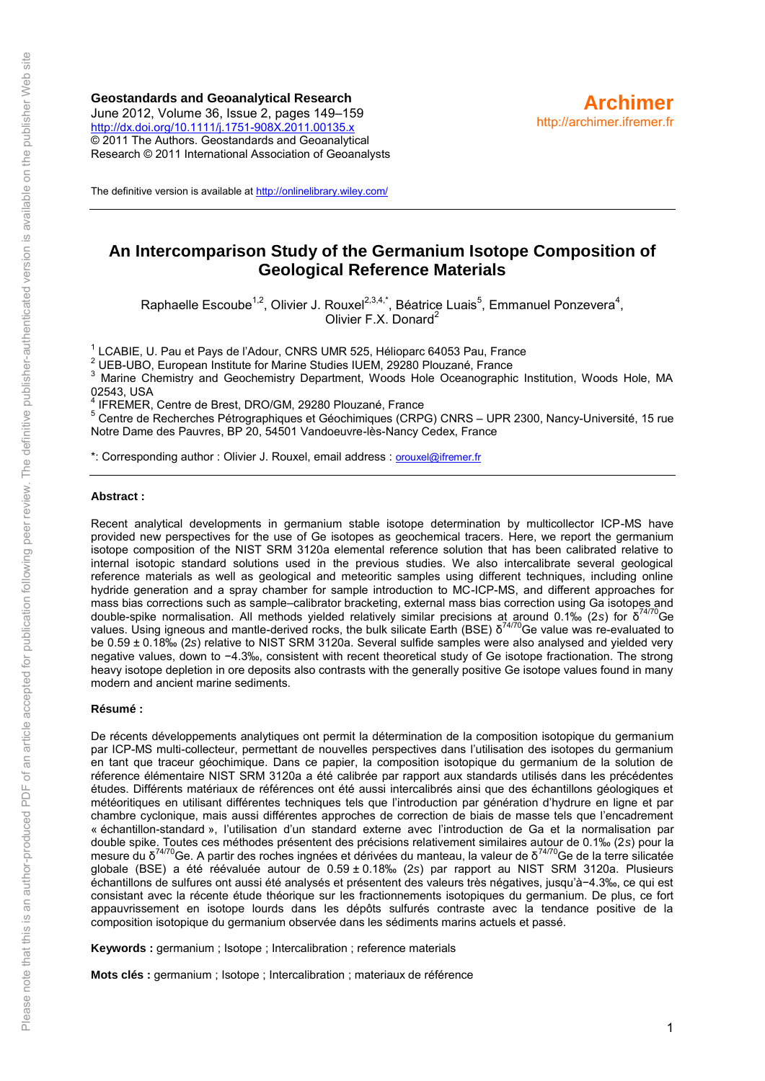**Geostandards and Geoanalytical Research** June 2012, Volume 36, Issue 2, pages 149–159 <http://dx.doi.org/10.1111/j.1751-908X.2011.00135.x> © 2011 The Authors. Geostandards and Geoanalytical Research © 2011 International Association of Geoanalysts



The definitive version is available a[t http://onlinelibrary.wiley.com/](http://onlinelibrary.wiley.com/)

# **An Intercomparison Study of the Germanium Isotope Composition of Geological Reference Materials**

Raphaelle Escoube<sup>1,2</sup>, Olivier J. Rouxel<sup>2,3,4,\*</sup>, Béatrice Luais<sup>5</sup>, Emmanuel Ponzevera<sup>4</sup>, Olivier F.X. Donard<sup>2</sup>

 $1$ LCABIE, U. Pau et Pays de l'Adour, CNRS UMR 525, Hélioparc 64053 Pau, France

 $2$  UEB-UBO, European Institute for Marine Studies IUEM, 29280 Plouzané, France

3 Marine Chemistry and Geochemistry Department, Woods Hole Oceanographic Institution, Woods Hole, MA 02543, USA

4 IFREMER, Centre de Brest, DRO/GM, 29280 Plouzané, France

<sup>5</sup> Centre de Recherches Pétrographiques et Géochimiques (CRPG) CNRS – UPR 2300, Nancy-Université, 15 rue Notre Dame des Pauvres, BP 20, 54501 Vandoeuvre-lès-Nancy Cedex, France

\*: Corresponding author : Olivier J. Rouxel, email address : [orouxel@ifremer.fr](mailto:orouxel@ifremer.fr)

#### **Abstract :**

Recent analytical developments in germanium stable isotope determination by multicollector ICP-MS have provided new perspectives for the use of Ge isotopes as geochemical tracers. Here, we report the germanium isotope composition of the NIST SRM 3120a elemental reference solution that has been calibrated relative to internal isotopic standard solutions used in the previous studies. We also intercalibrate several geological reference materials as well as geological and meteoritic samples using different techniques, including online hydride generation and a spray chamber for sample introduction to MC-ICP-MS, and different approaches for mass bias corrections such as sample–calibrator bracketing, external mass bias correction using Ga isotopes and double-spike normalisation. All methods yielded relatively similar precisions at around 0.1‰ (2*s*) for δ 74/70Ge values. Using igneous and mantle-derived rocks, the bulk silicate Earth (BSE) δ<sup>74/70</sup>Ge value was re-evaluated to be 0.59 ± 0.18‰ (2*s*) relative to NIST SRM 3120a. Several sulfide samples were also analysed and yielded very negative values, down to −4.3‰, consistent with recent theoretical study of Ge isotope fractionation. The strong heavy isotope depletion in ore deposits also contrasts with the generally positive Ge isotope values found in many modern and ancient marine sediments.

#### **Résumé :**

De récents développements analytiques ont permit la détermination de la composition isotopique du germanium par ICP-MS multi-collecteur, permettant de nouvelles perspectives dans l'utilisation des isotopes du germanium en tant que traceur géochimique. Dans ce papier, la composition isotopique du germanium de la solution de réference élémentaire NIST SRM 3120a a été calibrée par rapport aux standards utilisés dans les précédentes études. Différents matériaux de références ont été aussi intercalibrés ainsi que des échantillons géologiques et météoritiques en utilisant différentes techniques tels que l'introduction par génération d'hydrure en ligne et par chambre cyclonique, mais aussi différentes approches de correction de biais de masse tels que l'encadrement « échantillon-standard », l'utilisation d'un standard externe avec l'introduction de Ga et la normalisation par double spike. Toutes ces méthodes présentent des précisions relativement similaires autour de 0.1‰ (2*s*) pour la mesure du δ<sup>74/70</sup>Ge. A partir des roches ingnées et dérivées du manteau, la valeur de δ<sup>74/70</sup>Ge de la terre silicatée globale (BSE) a été réévaluée autour de 0.59 ± 0.18‰ (2*s*) par rapport au NIST SRM 3120a. Plusieurs échantillons de sulfures ont aussi été analysés et présentent des valeurs très négatives, jusqu'à−4.3‰, ce qui est consistant avec la récente étude théorique sur les fractionnements isotopiques du germanium. De plus, ce fort appauvrissement en isotope lourds dans les dépôts sulfurés contraste avec la tendance positive de la composition isotopique du germanium observée dans les sédiments marins actuels et passé.

**Keywords :** germanium ; Isotope ; Intercalibration ; reference materials

**Mots clés :** germanium ; Isotope ; Intercalibration ; materiaux de référence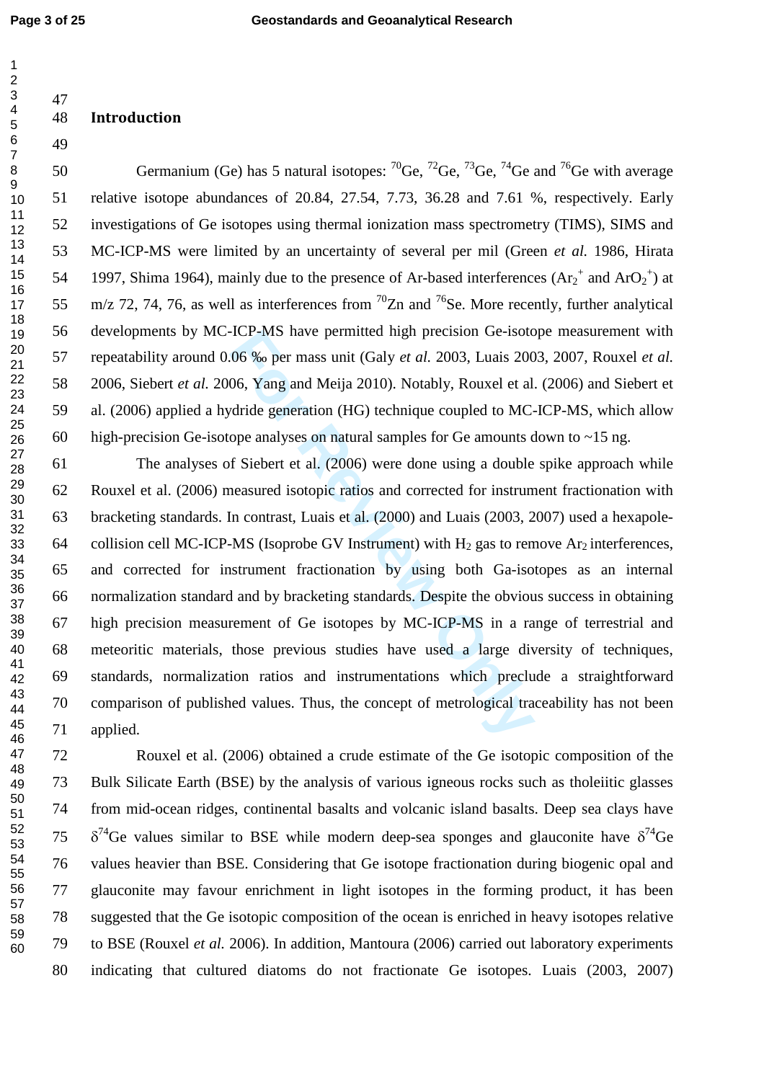$\mathbf{1}$ 

47

49

# 48 Introduction

50 Germanium (Ge) has 5 natural isotopes:  ${}^{70}$ Ge,  ${}^{72}$ Ge,  ${}^{73}$ Ge,  ${}^{74}$ Ge and  ${}^{76}$ Ge with average 51 relative isotope abundances of 20.84, 27.54, 7.73, 36.28 and 7.61 %, respectively. Early 52 investigations of Ge isotopes using thermal ionization mass spectrometry (TIMS), SIMS and 53 MC-ICP-MS were limited by an uncertainty of several per mil (Green *et al.* 1986, Hirata 54 1997, Shima 1964), mainly due to the presence of Ar-based interferences  $(Ar_2^+$  and  $ArO_2^+)$  at 55 m/z 72, 74, 76, as well as interferences from  $^{70}Zn$  and  $^{76}Se$ . More recently, further analytical 56 developments by MC-ICP-MS have permitted high precision Ge-isotope measurement with 57 repeatability around 0.06 ‰ per mass unit (Galy *et al.* 2003, Luais 2003, 2007, Rouxel *et al.* 58 2006, Siebert *et al.* 2006, Yang and Meija 2010). Notably, Rouxel et al. (2006) and Siebert et 59 al. (2006) applied a hydride generation (HG) technique coupled to MC-ICP-MS, which allow 60 high-precision Ge-isotope analyses on natural samples for Ge amounts down to  $\sim$ 15 ng.

**FIGP-MS** have permitted nigh precision Ge-isoto 06 % per mass unit (Galy *et al.* 2003, Luais 200 06, Yang and Meija 2010). Notably, Rouxel et al. dride generation (HG) technique coupled to MC-ope analyses on natural samp 61 The analyses of Siebert et al. (2006) were done using a double spike approach while 62 Rouxel et al. (2006) measured isotopic ratios and corrected for instrument fractionation with 63 bracketing standards. In contrast, Luais et al. (2000) and Luais (2003, 2007) used a hexapole-64 collision cell MC-ICP-MS (Isoprobe GV Instrument) with  $H_2$  gas to remove Ar<sub>2</sub> interferences, 65 and corrected for instrument fractionation by using both Ga-isotopes as an internal 66 normalization standard and by bracketing standards. Despite the obvious success in obtaining 67 high precision measurement of Ge isotopes by MC-ICP-MS in a range of terrestrial and 68 meteoritic materials, those previous studies have used a large diversity of techniques, 69 standards, normalization ratios and instrumentations which preclude a straightforward 70 comparison of published values. Thus, the concept of metrological traceability has not been 71 applied.

72 Rouxel et al. (2006) obtained a crude estimate of the Ge isotopic composition of the 73 Bulk Silicate Earth (BSE) by the analysis of various igneous rocks such as tholeiitic glasses 74 from mid-ocean ridges, continental basalts and volcanic island basalts. Deep sea clays have 75  $\delta^{74}$ Ge values similar to BSE while modern deep-sea sponges and glauconite have  $\delta^{74}$ Ge 76 values heavier than BSE. Considering that Ge isotope fractionation during biogenic opal and 77 glauconite may favour enrichment in light isotopes in the forming product, it has been 78 suggested that the Ge isotopic composition of the ocean is enriched in heavy isotopes relative 79 to BSE (Rouxel *et al.* 2006). In addition, Mantoura (2006) carried out laboratory experiments 80 indicating that cultured diatoms do not fractionate Ge isotopes. Luais (2003, 2007)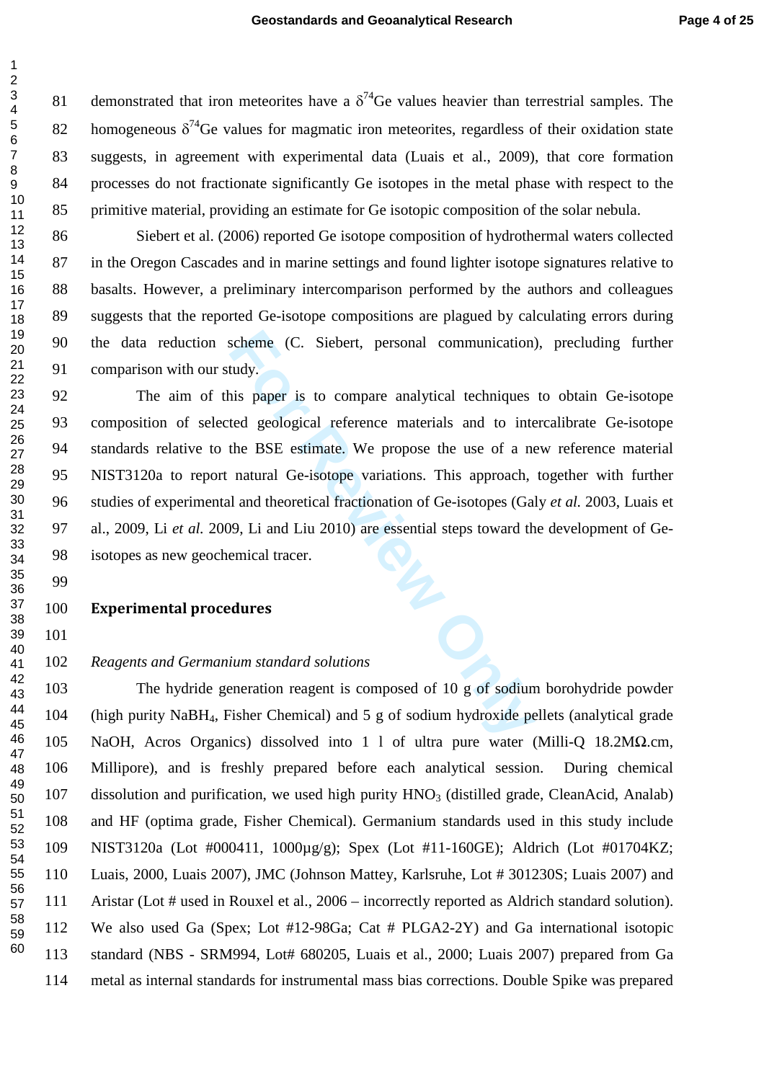81 demonstrated that iron meteorites have a  $\delta^{74}$ Ge values heavier than terrestrial samples. The 82 homogeneous  $\delta^{74}$ Ge values for magmatic iron meteorites, regardless of their oxidation state 83 suggests, in agreement with experimental data (Luais et al., 2009), that core formation 84 processes do not fractionate significantly Ge isotopes in the metal phase with respect to the 85 primitive material, providing an estimate for Ge isotopic composition of the solar nebula.

86 Siebert et al. (2006) reported Ge isotope composition of hydrothermal waters collected 87 in the Oregon Cascades and in marine settings and found lighter isotope signatures relative to 88 basalts. However, a preliminary intercomparison performed by the authors and colleagues 89 suggests that the reported Ge-isotope compositions are plagued by calculating errors during 90 the data reduction scheme (C. Siebert, personal communication), precluding further 91 comparison with our study.

scheme (C. Siebert, personal communication)<br>
Hudy.<br>
Hudy.<br>
Hudy.<br>
Hudy.<br>
Hudy.<br>
Hudy.<br>
Hudy.<br>
Hudy.<br>
Hudy.<br>
Hudy.<br>
Hudy.<br>
Hudy.<br>
Hudy.<br>
Hudy.<br>
Hudy.<br>
Hudy.<br>
Hudy.<br>
Hudy. Hudy.<br>
Hudy. Hudy.<br>
Hudy. Hudy.<br>
Hudy. Hudy.<br>
Hudy. 92 The aim of this paper is to compare analytical techniques to obtain Ge-isotope 93 composition of selected geological reference materials and to intercalibrate Ge-isotope 94 standards relative to the BSE estimate. We propose the use of a new reference material 95 NIST3120a to report natural Ge-isotope variations. This approach, together with further 96 studies of experimental and theoretical fractionation of Ge-isotopes (Galy *et al.* 2003, Luais et 97 al., 2009, Li *et al.* 2009, Li and Liu 2010) are essential steps toward the development of Ge-98 isotopes as new geochemical tracer.

#### Experimental procedures

 

 $\overline{1}$  $\overline{2}$  $\overline{3}$  $\overline{4}$  $\overline{7}$ 

#### *Reagents and Germanium standard solutions*

103 The hydride generation reagent is composed of 10 g of sodium borohydride powder 104 (high purity NaBH <sup>4</sup>, Fisher Chemical) and 5 g of sodium hydroxide pellets (analytical grade 105 NaOH, Acros Organics) dissolved into 1 l of ultra pure water (Milli-Q 18.2M Ω.cm, 106 Millipore), and is freshly prepared before each analytical session. During chemical 107 dissolution and purification, we used high purity HNO <sup>3</sup> (distilled grade, CleanAcid, Analab) 108 and HF (optima grade, Fisher Chemical). Germanium standards used in this study include 109 NIST3120a (Lot #000411, 1000µg/g); Spex (Lot #11-160GE); Aldrich (Lot #01704KZ; 110 Luais, 2000, Luais 2007), JMC (Johnson Mattey, Karlsruhe, Lot # 301230S; Luais 2007) and 111 Aristar (Lot # used in Rouxel et al., 2006 – incorrectly reported as Aldrich standard solution). 112 We also used Ga (Spex; Lot #12-98Ga; Cat # PLGA2-2Y) and Ga international isotopic 113 standard (NBS - SRM994, Lot# 680205, Luais et al., 2000; Luais 2007) prepared from Ga 114 metal as internal standards for instrumental mass bias corrections. Double Spike was prepared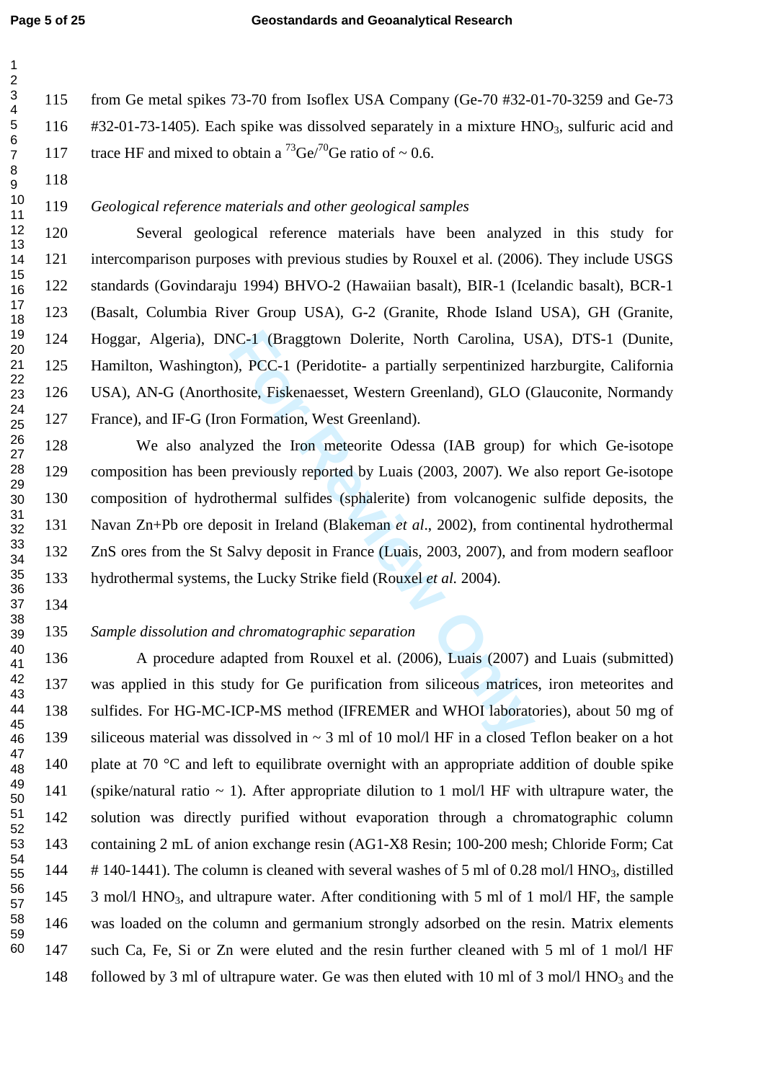115 from Ge metal spikes 73-70 from Isoflex USA Company (Ge-70 #32-01-70-3259 and Ge-73 116 #32-01-73-1405). Each spike was dissolved separately in a mixture HNO <sup>3</sup>, sulfuric acid and 117 trace HF and mixed to obtain a <sup>73</sup>Ge/<sup>70</sup>Ge ratio of ~ 0.6.

 $\mathbf{1}$ 

# *Geological reference materials and other geological samples*

120 Several geological reference materials have been analyzed in this study for 121 intercomparison purposes with previous studies by Rouxel et al. (2006). They include USGS 122 standards (Govindaraju 1994) BHVO-2 (Hawaiian basalt), BIR-1 (Icelandic basalt), BCR-1 123 (Basalt, Columbia River Group USA), G-2 (Granite, Rhode Island USA), GH (Granite, 124 Hoggar, Algeria), DNC-1 (Braggtown Dolerite, North Carolina, USA), DTS-1 (Dunite, 125 Hamilton, Washington), PCC-1 (Peridotite- a partially serpentinized harzburgite, California 126 USA), AN-G (Anorthosite, Fiskenaesset, Western Greenland), GLO (Glauconite, Normandy 127 France), and IF-G (Iron Formation, West Greenland).

**Formularity Alternative Contains Controlling CVC-1** (Braggtown Dolerite, North Carolina, U.<br> **Formularity Schema** and Sosite, Fiskenaesset, Western Greenland), GLO (Con Formation, West Greenland).<br>
Formulary reported by 128 We also analyzed the Iron meteorite Odessa (IAB group) for which Ge-isotope 129 composition has been previously reported by Luais (2003, 2007). We also report Ge-isotope 130 composition of hydrothermal sulfides (sphalerite) from volcanogenic sulfide deposits, the 131 Navan Zn+Pb ore deposit in Ireland (Blakeman *et al*., 2002), from continental hydrothermal 132 ZnS ores from the St Salvy deposit in France (Luais, 2003, 2007), and from modern seafloor 133 hydrothermal systems, the Lucky Strike field (Rouxel *et al.* 2004).

*Sample dissolution and chromatographic separation* 

136 A procedure adapted from Rouxel et al. (2006), Luais (2007) and Luais (submitted) 137 was applied in this study for Ge purification from siliceous matrices, iron meteorites and 138 sulfides. For HG-MC-ICP-MS method (IFREMER and WHOI laboratories), about 50 mg of 139 siliceous material was dissolved in ~ 3 ml of 10 mol/l HF in a closed Teflon beaker on a hot 140 plate at 70 °C and left to equilibrate overnight with an appropriate addition of double spike 141 (spike/natural ratio  $\sim$  1). After appropriate dilution to 1 mol/l HF with ultrapure water, the 142 solution was directly purified without evaporation through a chromatographic column 143 containing 2 mL of anion exchange resin (AG1-X8 Resin; 100-200 mesh; Chloride Form; Cat 144 # 140-1441). The column is cleaned with several washes of 5 ml of 0.28 mol/l HNO <sup>3</sup>, distilled 145 3 mol/l HNO<sub>3</sub>, and ultrapure water. After conditioning with 5 ml of 1 mol/l HF, the sample 146 was loaded on the column and germanium strongly adsorbed on the resin. Matrix elements 147 such Ca, Fe, Si or Zn were eluted and the resin further cleaned with 5 ml of 1 mol/l HF 148 followed by 3 ml of ultrapure water. Ge was then eluted with 10 ml of 3 mol/l HNO<sub>3</sub> and the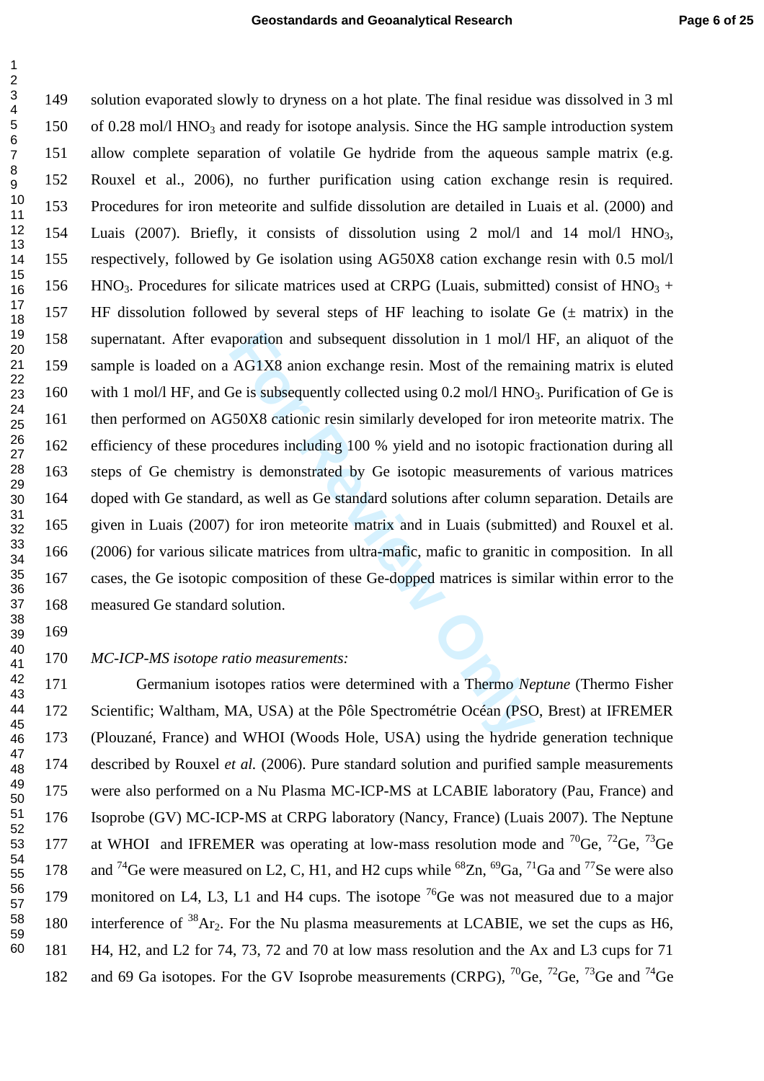poration and subsequent dissolution in 1 mol/l<br>AG1X8 anion exchange resin. Most of the rema<br>For Review Sison exchange resin. Most of the rema<br>For Review Sison Exemple 100 % yield and no isotopic fi<br>y is demonstrated by Ge 149 solution evaporated slowly to dryness on a hot plate. The final residue was dissolved in 3 ml 150 of 0.28 mol/l HNO<sub>3</sub> and ready for isotope analysis. Since the HG sample introduction system 151 allow complete separation of volatile Ge hydride from the aqueous sample matrix (e.g. 152 Rouxel et al., 2006), no further purification using cation exchange resin is required. 153 Procedures for iron meteorite and sulfide dissolution are detailed in Luais et al. (2000) and 154 Luais (2007). Briefly, it consists of dissolution using 2 mol/l and 14 mol/l HNO 3, 155 respectively, followed by Ge isolation using AG50X8 cation exchange resin with 0.5 mol/l 156 HNO<sub>3</sub>. Procedures for silicate matrices used at CRPG (Luais, submitted) consist of  $HNO<sub>3</sub> +$ 157 HF dissolution followed by several steps of HF leaching to isolate Ge  $(\pm$  matrix) in the 158 supernatant. After evaporation and subsequent dissolution in 1 mol/l HF, an aliquot of the 159 sample is loaded on a AG1X8 anion exchange resin. Most of the remaining matrix is eluted 160 with 1 mol/l HF, and Ge is subsequently collected using 0.2 mol/l HNO<sub>3</sub>. Purification of Ge is 161 then performed on AG50X8 cationic resin similarly developed for iron meteorite matrix. The 162 efficiency of these procedures including 100 % yield and no isotopic fractionation during all 163 steps of Ge chemistry is demonstrated by Ge isotopic measurements of various matrices 164 doped with Ge standard, as well as Ge standard solutions after column separation. Details are 165 given in Luais (2007) for iron meteorite matrix and in Luais (submitted) and Rouxel et al. 166 (2006) for various silicate matrices from ultra-mafic, mafic to granitic in composition. In all 167 cases, the Ge isotopic composition of these Ge-dopped matrices is similar within error to the 168 measured Ge standard solution. 10 11 12 13 14 15 16 17 18 19 20 21 22 23 24 25 26 27 28 29 30 31 32 33 34 35 36 37 38

 169 39

123456789

 $\overline{1}$  $\overline{2}$  $\overline{3}$  $\overline{\mathbf{4}}$ 5 6  $\overline{7}$ 8  $\boldsymbol{9}$ 

#### 170 *MC-ICP-MS isotope ratio measurements:*

171 Germanium isotopes ratios were determined with a Thermo *Neptune* (Thermo Fisher 172 Scientific; Waltham, MA, USA) at the Pôle Spectrométrie Océan (PSO, Brest) at IFREMER 173 (Plouzané, France) and WHOI (Woods Hole, USA) using the hydride generation technique 174 described by Rouxel *et al.* (2006). Pure standard solution and purified sample measurements 175 were also performed on a Nu Plasma MC-ICP-MS at LCABIE laboratory (Pau, France) and 176 Isoprobe (GV) MC-ICP-MS at CRPG laboratory (Nancy, France) (Luais 2007). The Neptune 177 at WHOI and IFREMER was operating at low-mass resolution mode and <sup>70</sup>Ge, <sup>72</sup>Ge, <sup>73</sup>Ge 178 and <sup>74</sup>Ge were measured on L2, C, H1, and H2 cups while <sup>68</sup>Zn, <sup>69</sup>Ga, <sup>71</sup>Ga and <sup>77</sup>Se were also 179 monitored on L4, L3, L1 and H4 cups. The isotope  $^{76}$ Ge was not measured due to a major 180 interference of  $38Ar_2$ . For the Nu plasma measurements at LCABIE, we set the cups as H6, 181 H4, H2, and L2 for 74, 73, 72 and 70 at low mass resolution and the Ax and L3 cups for 71 182 and 69 Ga isotopes. For the GV Isoprobe measurements (CRPG),  ${}^{70}$ Ge,  ${}^{72}$ Ge,  ${}^{73}$ Ge and  ${}^{74}$ Ge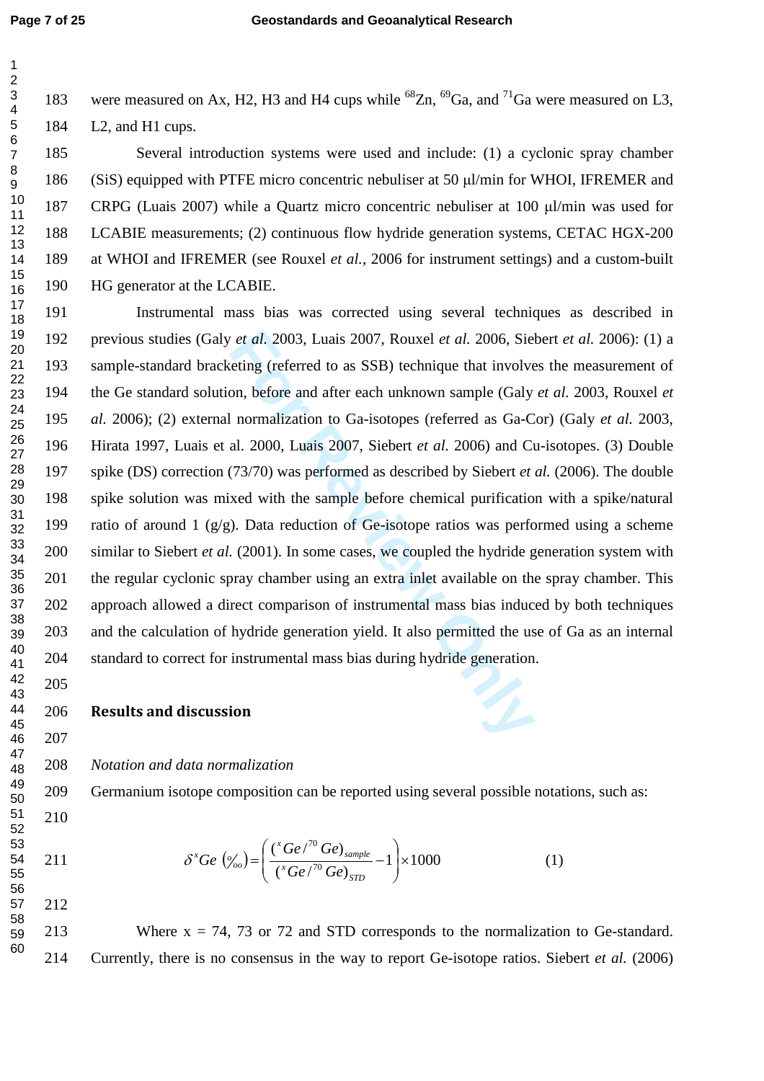$\mathbf{1}$  $\overline{2}$  $\overline{3}$  $\overline{\mathbf{4}}$ 5 6  $\overline{7}$ 8  $\boldsymbol{9}$ 

185 Several introduction systems were used and include: (1) a cyclonic spray chamber 186 (SiS) equipped with PTFE micro concentric nebuliser at 50 µl/min for WHOI, IFREMER and 187 CRPG (Luais 2007) while a Quartz micro concentric nebuliser at 100 µl/min was used for 188 LCABIE measurements; (2) continuous flow hydride generation systems, CETAC HGX-200 189 at WHOI and IFREMER (see Rouxel *et al.*, 2006 for instrument settings) and a custom-built 190 HG generator at the LCABIE.

*For al.* 2003, Luais 2007, Rouxel *et al.* 2006, Sieleting (referred to as SSB) technique that involves the eting (referred to as SSB) technique that involves on, before and after each unknown sample (Galy all normalizati 191 Instrumental mass bias was corrected using several techniques as described in 192 previous studies (Galy *et al.* 2003, Luais 2007, Rouxel *et al.* 2006, Siebert *et al.* 2006): (1) a 193 sample-standard bracketing (referred to as SSB) technique that involves the measurement of 194 the Ge standard solution, before and after each unknown sample (Galy *et al.* 2003, Rouxel *et*  195 *al.* 2006); (2) external normalization to Ga-isotopes (referred as Ga-Cor) (Galy *et al.* 2003, 196 Hirata 1997, Luais et al. 2000, Luais 2007, Siebert *et al.* 2006) and Cu-isotopes. (3) Double 197 spike (DS) correction (73/70) was performed as described by Siebert *et al.* (2006). The double 198 spike solution was mixed with the sample before chemical purification with a spike/natural 199 ratio of around 1 (g/g). Data reduction of Ge-isotope ratios was performed using a scheme 200 similar to Siebert *et al.* (2001). In some cases, we coupled the hydride generation system with 201 the regular cyclonic spray chamber using an extra inlet available on the spray chamber. This 202 approach allowed a direct comparison of instrumental mass bias induced by both techniques 203 and the calculation of hydride generation yield. It also permitted the use of Ga as an internal 204 standard to correct for instrumental mass bias during hydride generation. 17 18 19 20 21 22 23 24 25 26 27 28 29 30 31 32 33 34 35 36 37 38 39 40 41

206 Results and discussion

207

210

211

212

205

208 *Notation and data normalization* 

209 Germanium isotope composition can be reported using several possible notations, such as:

$$
\delta^x G e \left( \phi'_{oo} \right) = \left( \frac{\left( \frac{x}{\epsilon} G e \right)^{70} G e \right)_{sample}}{\left( \frac{x}{\epsilon} G e \right)^{70} G e \right)_{STD}} - 1 \right) \times 1000 \tag{1}
$$

56 57

58 59 60

213 Where  $x = 74$ , 73 or 72 and STD corresponds to the normalization to Ge-standard. 214 Currently, there is no consensus in the way to report Ge-isotope ratios. Siebert *et al.* (2006)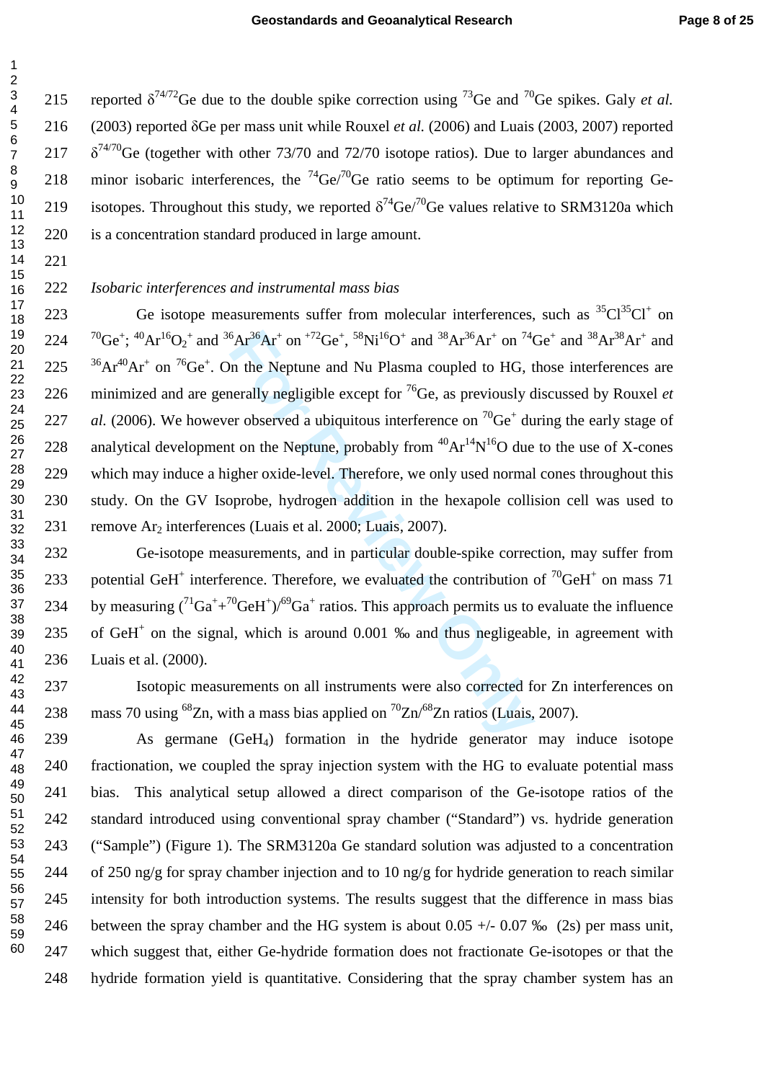215 reported  $\delta^{74/72}$ Ge due to the double spike correction using <sup>73</sup>Ge and <sup>70</sup>Ge spikes. Galy *et al.* 216 (2003) reported δGe per mass unit while Rouxel *et al.* (2006) and Luais (2003, 2007) reported 217  $\delta^{74/70}$ Ge (together with other 73/70 and 72/70 isotope ratios). Due to larger abundances and 218 minor isobaric interferences, the  $^{74}$ Ge/ $^{70}$ Ge ratio seems to be optimum for reporting Ge-219 isotopes. Throughout this study, we reported  $\delta^{74}$ Ge/ $\delta^{70}$ Ge values relative to SRM3120a which 220 is a concentration standard produced in large amount.

 $\overline{1}$  $\overline{2}$  $\overline{\mathbf{4}}$  $6\phantom{a}$  $\overline{7}$ 

# *Isobaric interferences and instrumental mass bias*

 ${}^{6}Ar^{36}Ar^{+}$  on  ${}^{72}Ge^{+}$ ,  ${}^{58}Ni^{16}O^{+}$  and  ${}^{38}Ar^{36}Ar^{+}$  on  ${}^{74}C$ <br>in the Neptune and Nu Plasma coupled to HG, t<br>nerally negligible except for  ${}^{76}Ge$ , as previously der observed a ubiquitous interference 223 Ge isotope measurements suffer from molecular interferences, such as  ${}^{35}Cl^{35}Cl^{+}$  on 224  ${}^{70}Ge^+$ ; <sup>40</sup>Ar<sup>16</sup>O<sub>2</sub><sup>+</sup> and <sup>36</sup>Ar<sup>36</sup>Ar<sup>+</sup> on <sup>+72</sup>Ge<sup>+</sup>, <sup>58</sup>Ni<sup>16</sup>O<sup>+</sup> and <sup>38</sup>Ar<sup>36</sup>Ar<sup>+</sup> on <sup>74</sup>Ge<sup>+</sup> and <sup>38</sup>Ar<sup>38</sup>Ar<sup>+</sup> and <sup>36</sup>Ar<sup>40</sup>Ar<sup>+</sup> on <sup>76</sup>Ge<sup>+</sup>. On the Neptune and Nu Plasma coupled to HG, those interferences are 226 minimized and are generally negligible except for <sup>76</sup>Ge, as previously discussed by Rouxel *et* 227 *al.* (2006). We however observed a ubiquitous interference on <sup>70</sup>Ge<sup>+</sup> during the early stage of 228 analytical development on the Neptune, probably from  ${}^{40}Ar^{14}N^{16}O$  due to the use of X-cones 229 which may induce a higher oxide-level. Therefore, we only used normal cones throughout this 230 study. On the GV Isoprobe, hydrogen addition in the hexapole collision cell was used to 231 remove Ar <sup>2</sup> interferences (Luais et al. 2000; Luais, 2007).

232 Ge-isotope measurements, and in particular double-spike correction, may suffer from 233 potential GeH<sup>+</sup> interference. Therefore, we evaluated the contribution of <sup>70</sup>GeH<sup>+</sup> on mass 71 234 by measuring  $({}^{71}Ga^+ + {}^{70}GeH^+)/{}^{69}Ga^+$  ratios. This approach permits us to evaluate the influence 235 of GeH<sup>+</sup> on the signal, which is around 0.001 ‰ and thus negligeable, in agreement with 236 Luais et al. (2000).

237 Isotopic measurements on all instruments were also corrected for Zn interferences on 238 mass 70 using <sup>68</sup>Zn, with a mass bias applied on  ${}^{70}Zn/{}^{68}Zn$  ratios (Luais, 2007).

239 As germane (GeH <sup>4</sup>) formation in the hydride generator may induce isotope 240 fractionation, we coupled the spray injection system with the HG to evaluate potential mass 241 bias. This analytical setup allowed a direct comparison of the Ge-isotope ratios of the 242 standard introduced using conventional spray chamber ("Standard") vs. hydride generation 243 ("Sample") (Figure 1). The SRM3120a Ge standard solution was adjusted to a concentration 244 of 250 ng/g for spray chamber injection and to 10 ng/g for hydride generation to reach similar 245 intensity for both introduction systems. The results suggest that the difference in mass bias 246 between the spray chamber and the HG system is about  $0.05 +/- 0.07$  ‰ (2s) per mass unit, 247 which suggest that, either Ge-hydride formation does not fractionate Ge-isotopes or that the 248 hydride formation yield is quantitative. Considering that the spray chamber system has an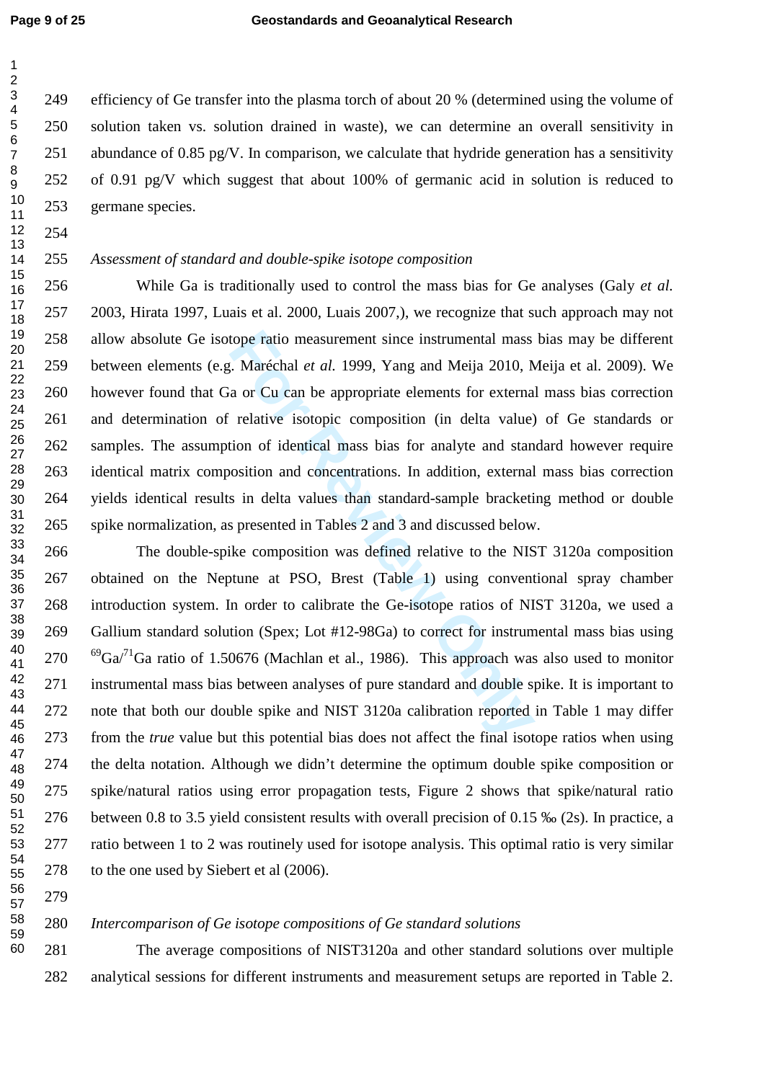249 efficiency of Ge transfer into the plasma torch of about 20 % (determined using the volume of solution taken vs. solution drained in waste), we can determine an overall sensitivity in 251 abundance of 0.85 pg/V. In comparison, we calculate that hydride generation has a sensitivity 252 of 0.91 pg/V which suggest that about 100% of germanic acid in solution is reduced to 253 germane species.

 

 $\mathbf{1}$  $\overline{2}$  $\overline{3}$  $\overline{\mathbf{4}}$  $\overline{7}$  $\boldsymbol{9}$ 

# *Assessment of standard and double-spike isotope composition*

tope ratio measurement since instrumental mass<br> *F.* Maréchal *et al.* 1999, Yang and Meija 2010, N.<br>
a or Cu can be appropriate elements for externa<br>
relative isotopic composition (in delta value)<br>
tion of identical mass 256 While Ga is traditionally used to control the mass bias for Ge analyses (Galy *et al.* 257 2003, Hirata 1997, Luais et al. 2000, Luais 2007,), we recognize that such approach may not 258 allow absolute Ge isotope ratio measurement since instrumental mass bias may be different 259 between elements (e.g. Maréchal *et al.* 1999, Yang and Meija 2010, Meija et al. 2009). We 260 however found that Ga or Cu can be appropriate elements for external mass bias correction 261 and determination of relative isotopic composition (in delta value) of Ge standards or 262 samples. The assumption of identical mass bias for analyte and standard however require 263 identical matrix composition and concentrations. In addition, external mass bias correction 264 yields identical results in delta values than standard-sample bracketing method or double 265 spike normalization, as presented in Tables 2 and 3 and discussed below.

266 The double-spike composition was defined relative to the NIST 3120a composition 267 obtained on the Neptune at PSO, Brest (Table 1) using conventional spray chamber 268 introduction system. In order to calibrate the Ge-isotope ratios of NIST 3120a, we used a 269 Gallium standard solution (Spex; Lot #12-98Ga) to correct for instrumental mass bias using <sup>69</sup>Ga<sup> $/1$ </sup>Ga ratio of 1.50676 (Machlan et al., 1986). This approach was also used to monitor 271 instrumental mass bias between analyses of pure standard and double spike. It is important to 272 note that both our double spike and NIST 3120a calibration reported in Table 1 may differ 273 from the *true* value but this potential bias does not affect the final isotope ratios when using 274 the delta notation. Although we didn't determine the optimum double spike composition or 275 spike/natural ratios using error propagation tests, Figure 2 shows that spike/natural ratio 276 between 0.8 to 3.5 yield consistent results with overall precision of 0.15 ‰ (2s). In practice, a 277 ratio between 1 to 2 was routinely used for isotope analysis. This optimal ratio is very similar 278 to the one used by Siebert et al (2006).

## *Intercomparison of Ge isotope compositions of Ge standard solutions*

281 The average compositions of NIST3120a and other standard solutions over multiple 282 analytical sessions for different instruments and measurement setups are reported in Table 2.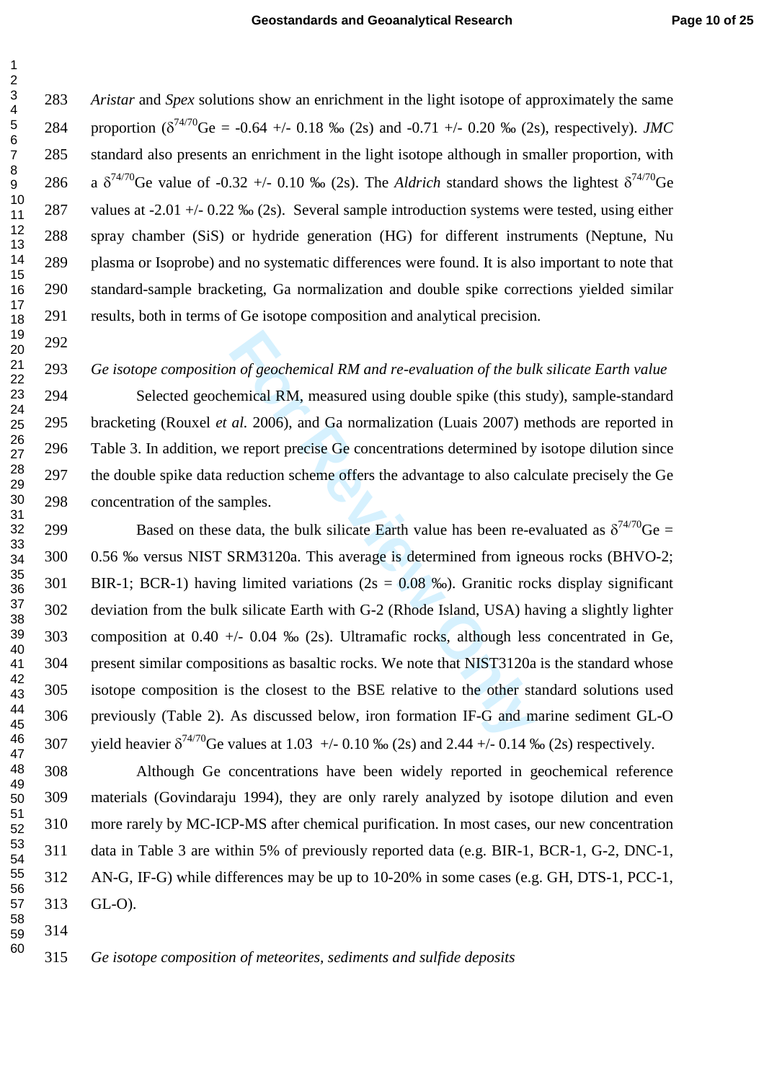*Aristar* and *Spex* solutions show an enrichment in the light isotope of approximately the same 284 proportion ( $\delta^{74/70}$ Ge = -0.64 +/- 0.18 ‰ (2s) and -0.71 +/- 0.20 ‰ (2s), respectively). *JMC* 285 standard also presents an enrichment in the light isotope although in smaller proportion, with 286 a  $\delta^{74/70}$ Ge value of -0.32 +/- 0.10 ‰ (2s). The *Aldrich* standard shows the lightest  $\delta^{74/70}$ Ge 287 values at -2.01 +/- 0.22 ‰ (2s). Several sample introduction systems were tested, using either 288 spray chamber (SiS) or hydride generation (HG) for different instruments (Neptune, Nu 289 plasma or Isoprobe) and no systematic differences were found. It is also important to note that 290 standard-sample bracketing, Ga normalization and double spike corrections yielded similar 291 results, both in terms of Ge isotope composition and analytical precision.

#### *G e isotope composition of geochemical RM and re-evaluation of the bulk silicate Earth value*

294 Selected geochemical RM, measured using double spike (this study), sample-standard 295 bracketing (Rouxel *et al.* 2006), and Ga normalization (Luais 2007) methods are reported in 296 Table 3. In addition, we report precise Ge concentrations determined by isotope dilution since 297 the double spike data reduction scheme offers the advantage to also calculate precisely the Ge 298 concentration of the samples.

*n* of geochemical RM and re-evaluation of the bul<br>emical RM, measured using double spike (this st<br>al. 2006), and Ga normalization (Luais 2007) m<br>ve report precise Ge concentrations determined by<br>eduction scheme offers th 299 Based on these data, the bulk silicate Earth value has been re-evaluated as  $\delta^{74/70}$ Ge = 300 0.56 ‰ versus NIST SRM3120a. This average is determined from igneous rocks (BHVO-2; 301 BIR-1; BCR-1) having limited variations ( $2s = 0.08\%$ ). Granitic rocks display significant 302 deviation from the bulk silicate Earth with G-2 (Rhode Island, USA) having a slightly lighter 303 composition at 0.40 +/- 0.04 ‰ (2s). Ultramafic rocks, although less concentrated in Ge, 304 present similar compositions as basaltic rocks. We note that NIST3120a is the standard whose 305 isotope composition is the closest to the BSE relative to the other standard solutions used 306 previously (Table 2). As discussed below, iron formation IF-G and marine sediment GL-O 307 yield heavier  $\delta^{74/70}$ Ge values at 1.03 +/- 0.10 ‰ (2s) and 2.44 +/- 0.14 ‰ (2s) respectively.

308 Although Ge concentrations have been widely reported in geochemical reference 309 materials (Govindaraju 1994), they are only rarely analyzed by isotope dilution and even 310 more rarely by MC-ICP-MS after chemical purification. In most cases, our new concentration 311 data in Table 3 are within 5% of previously reported data (e.g. BIR-1, BCR-1, G-2, DNC-1, 312 AN-G, IF-G) while differences may be up to 10-20% in some cases (e.g. GH, DTS-1, PCC-1, 313 GL-O). 

 

 $\overline{1}$  $\overline{2}$  $\overline{\mathbf{4}}$  $\overline{7}$  $\boldsymbol{9}$ 

#### *Ge isotope composition of meteorites, sediments and sulfide deposits*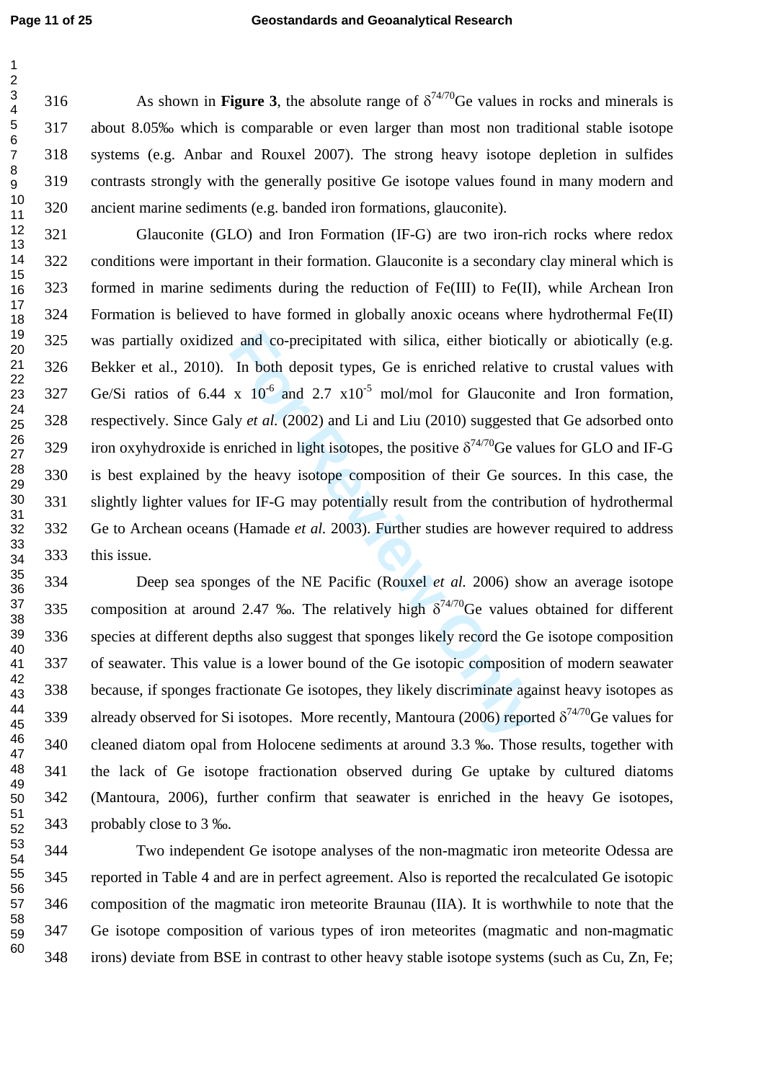5

 $\overline{7}$ 

 $\mathbf{1}$  $\overline{2}$ 

3 316 As shown in **Figure 3**, the absolute range of  $\delta^{74/70}$  Ge values in rocks and minerals is  $\overline{\mathbf{4}}$ 317 about 8.05‰ which is comparable or even larger than most non traditional stable isotope 6 318 systems (e.g. Anbar and Rouxel 2007). The strong heavy isotope depletion in sulfides 8 319 contrasts strongly with the generally positive Ge isotope values found in many modern and  $\boldsymbol{9}$ 10 320 ancient marine sediments (e.g. banded iron formations, glauconite). 11

1 and co-precipitated with silica, either biotical<br>In both deposit types, Ge is enriched relative v<br>x 10<sup>-6</sup> and 2.7 x10<sup>-5</sup> mol/mol for Glauconite<br>ly *et al.* (2002) and Li and Liu (2010) suggested<br>nriched in light isoto 321 Glauconite (GLO) and Iron Formation (IF-G) are two iron-rich rocks where redox 322 conditions were important in their formation. Glauconite is a secondary clay mineral which is 323 formed in marine sediments during the reduction of Fe(III) to Fe(II), while Archean Iron 324 Formation is believed to have formed in globally anoxic oceans where hydrothermal Fe(II) 325 was partially oxidized and co-precipitated with silica, either biotically or abiotically (e.g. 326 Bekker et al., 2010). In both deposit types, Ge is enriched relative to crustal values with  $Ge/Si$  ratios of 6.44 x  $10^{-6}$  and 2.7 x10<sup>-5</sup> mol/mol for Glauconite and Iron formation, 328 respectively. Since Galy *et al.* (2002) and Li and Liu (2010) suggested that Ge adsorbed onto 329 iron oxyhydroxide is enriched in light isotopes, the positive  $\delta^{74/70}$ Ge values for GLO and IF-G 330 is best explained by the heavy isotope composition of their Ge sources. In this case, the 331 slightly lighter values for IF-G may potentially result from the contribution of hydrothermal 332 Ge to Archean oceans (Hamade *et al.* 2003). Further studies are however required to address 333 this issue. 12 13 14 15 16 17 18 19 20 21 22 23 24 25 26 27 28 29 30 31 32 33 34

334 Deep sea sponges of the NE Pacific (Rouxel *et al.* 2006) show an average isotope 335 composition at around 2.47 ‰. The relatively high  $\delta^{74/70}$ Ge values obtained for different 336 species at different depths also suggest that sponges likely record the Ge isotope composition 337 of seawater. This value is a lower bound of the Ge isotopic composition of modern seawater 338 because, if sponges fractionate Ge isotopes, they likely discriminate against heavy isotopes as 339 already observed for Si isotopes. More recently, Mantoura (2006) reported  $\delta^{74/70}$ Ge values for 340 cleaned diatom opal from Holocene sediments at around 3.3 ‰. Those results, together with 341 the lack of Ge isotope fractionation observed during Ge uptake by cultured diatoms 342 (Mantoura, 2006), further confirm that seawater is enriched in the heavy Ge isotopes, 343 probably close to 3 ‰. 35 36 37 38 39 40 41 42 43 44 45 46 47 48 49 50 51 52

344 Two independent Ge isotope analyses of the non-magmatic iron meteorite Odessa are 345 reported in Table 4 and are in perfect agreement. Also is reported the recalculated Ge isotopic 346 composition of the magmatic iron meteorite Braunau (IIA). It is worthwhile to note that the 347 Ge isotope composition of various types of iron meteorites (magmatic and non-magmatic 348 irons) deviate from BSE in contrast to other heavy stable isotope systems (such as Cu, Zn, Fe; 53 54 55 56 57 58 59 60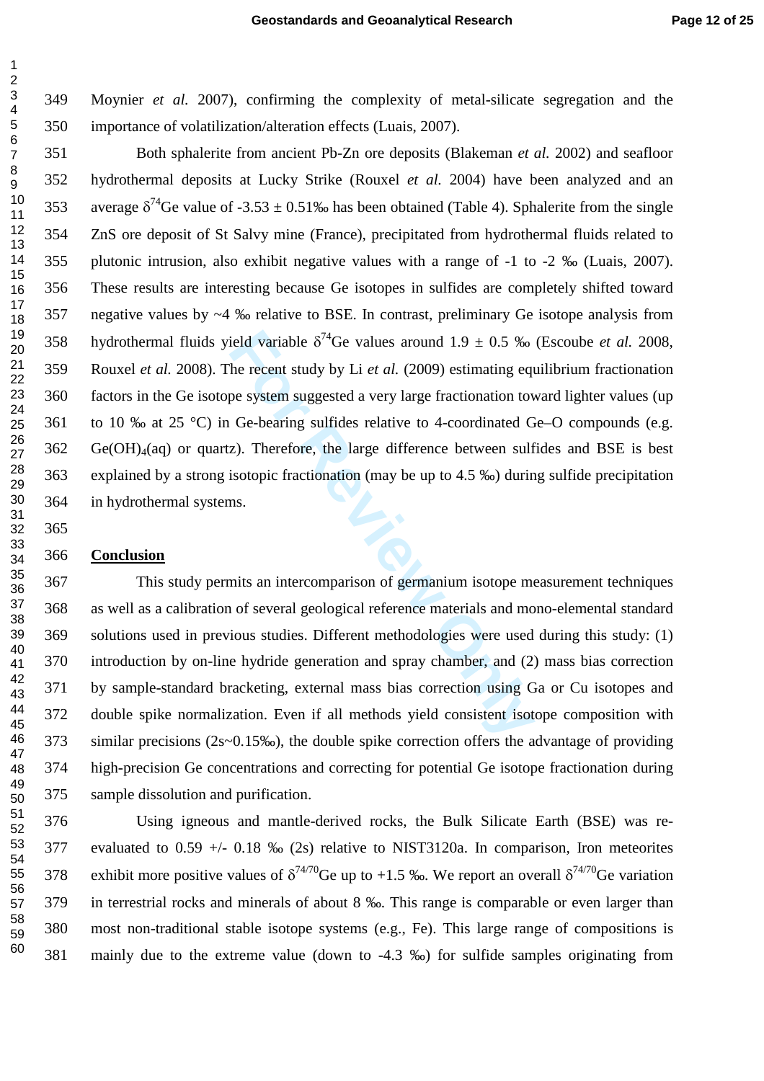349 Moynier *et al.* 2007), confirming the complexity of metal-silicate segregation and the 350 importance of volatilization/alteration effects (Luais, 2007).

ield variable  $\delta^{74}$ Ge values around  $1.9 \pm 0.5$  ‰<br>the recent study by Li *et al.* (2009) estimating eque system suggested a very large fractionation tov<br>Ge-bearing sulfides relative to 4-coordinated G<br>z). Therefore, th 351 Both sphalerite from ancient Pb-Zn ore deposits (Blakeman *et al.* 2002) and seafloor 352 hydrothermal deposits at Lucky Strike (Rouxel *et al.* 2004) have been analyzed and an 353 average  $\delta^{74}$ Ge value of -3.53  $\pm$  0.51‰ has been obtained (Table 4). Sphalerite from the single 354 ZnS ore deposit of St Salvy mine (France), precipitated from hydrothermal fluids related to 355 plutonic intrusion, also exhibit negative values with a range of -1 to -2 ‰ (Luais, 2007). 356 These results are interesting because Ge isotopes in sulfides are completely shifted toward 357 negative values by ~4 ‰ relative to BSE. In contrast, preliminary Ge isotope analysis from 358 hydrothermal fluids yield variable  $\delta^{74}$ Ge values around 1.9  $\pm$  0.5 ‰ (Escoube *et al.* 2008, 359 Rouxel *et al.* 2008). The recent study by Li *et al.* (2009) estimating equilibrium fractionation 360 factors in the Ge isotope system suggested a very large fractionation toward lighter values (up 361 to 10 ‰ at 25 °C) in Ge-bearing sulfides relative to 4-coordinated Ge–O compounds (e.g. Ge(OH)<sub>4</sub>(aq) or quartz). Therefore, the large difference between sulfides and BSE is best 363 explained by a strong isotopic fractionation (may be up to 4.5 ‰) during sulfide precipitation 364 in hydrothermal systems.

#### **Conclusion**

 $\overline{1}$  $\overline{2}$  $\overline{3}$  $\overline{\mathbf{4}}$  $\overline{7}$  $\boldsymbol{9}$ 

 This study permits an intercomparison of germanium isotope measurement techniques 368 as well as a calibration of several geological reference materials and mono-elemental standard 369 solutions used in previous studies. Different methodologies were used during this study: (1) 370 introduction by on-line hydride generation and spray chamber, and (2) mass bias correction 371 by sample-standard bracketing, external mass bias correction using Ga or Cu isotopes and 372 double spike normalization. Even if all methods yield consistent isotope composition with 373 similar precisions (2s~0.15‰), the double spike correction offers the advantage of providing 374 high-precision Ge concentrations and correcting for potential Ge isotope fractionation during 375 sample dissolution and purification.

376 Using igneous and mantle-derived rocks, the Bulk Silicate Earth (BSE) was re-377 evaluated to 0.59 +/- 0.18 ‰ (2s) relative to NIST3120a. In comparison, Iron meteorites 378 exhibit more positive values of  $\delta^{74/70}$ Ge up to +1.5 ‰. We report an overall  $\delta^{74/70}$ Ge variation 379 in terrestrial rocks and minerals of about 8 ‰. This range is comparable or even larger than 380 most non-traditional stable isotope systems (e.g., Fe). This large range of compositions is 381 mainly due to the extreme value (down to -4.3 ‰) for sulfide samples originating from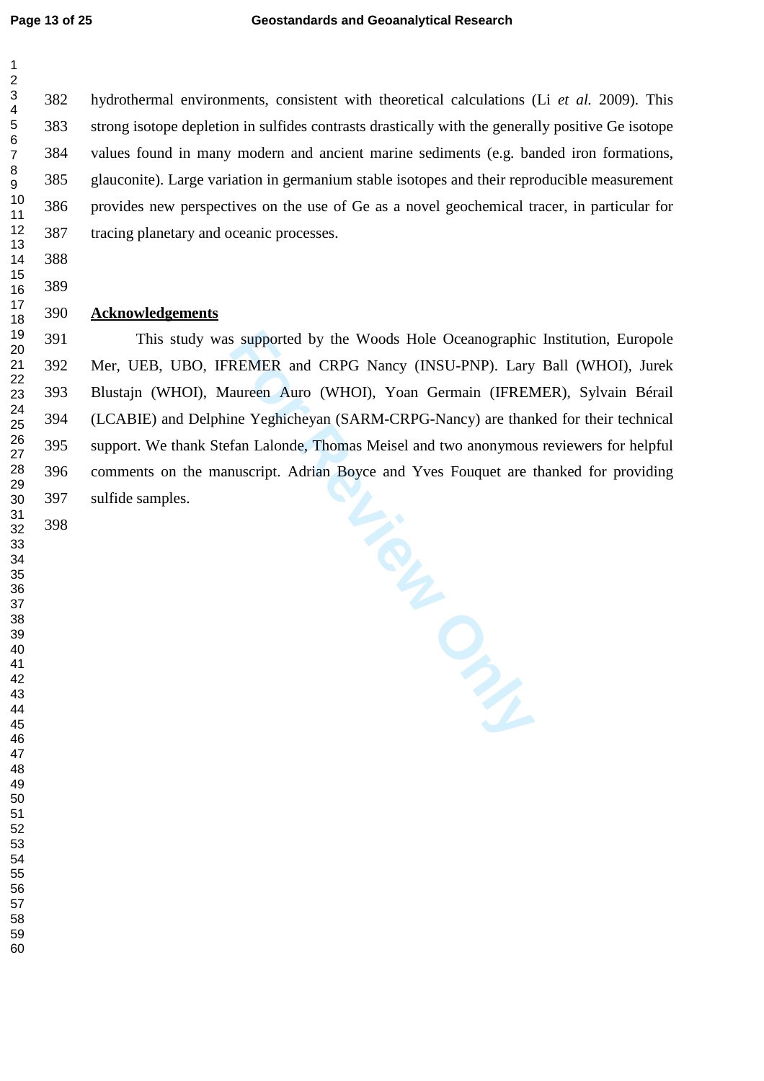$\mathbf{1}$ 

  382 hydrothermal environments, consistent with theoretical calculations (Li *et al.* 2009). This 383 strong isotope depletion in sulfides contrasts drastically with the generally positive Ge isotope 384 values found in many modern and ancient marine sediments (e.g. banded iron formations, 385 glauconite). Large variation in germanium stable isotopes and their reproducible measurement 386 provides new perspectives on the use of Ge as a novel geochemical tracer, in particular for 387 tracing planetary and oceanic processes.

### **Acknowledgements**

**PL. ENGLES**  This study was supported by the Woods Hole Oceanographic Institution, Europole 392 Mer, UEB, UBO, IFREMER and CRPG Nancy (INSU-PNP). Lary Ball (WHOI), Jurek 393 Blustajn (WHOI), Maureen Auro (WHOI), Yoan Germain (IFREMER), Sylvain Bérail 394 (LCABIE) and Delphine Yeghicheyan (SARM-CRPG-Nancy) are thanked for their technical 395 support. We thank Stefan Lalonde, Thomas Meisel and two anonymous reviewers for helpful 396 comments on the manuscript. Adrian Boyce and Yves Fouquet are thanked for providing 397 sulfide samples.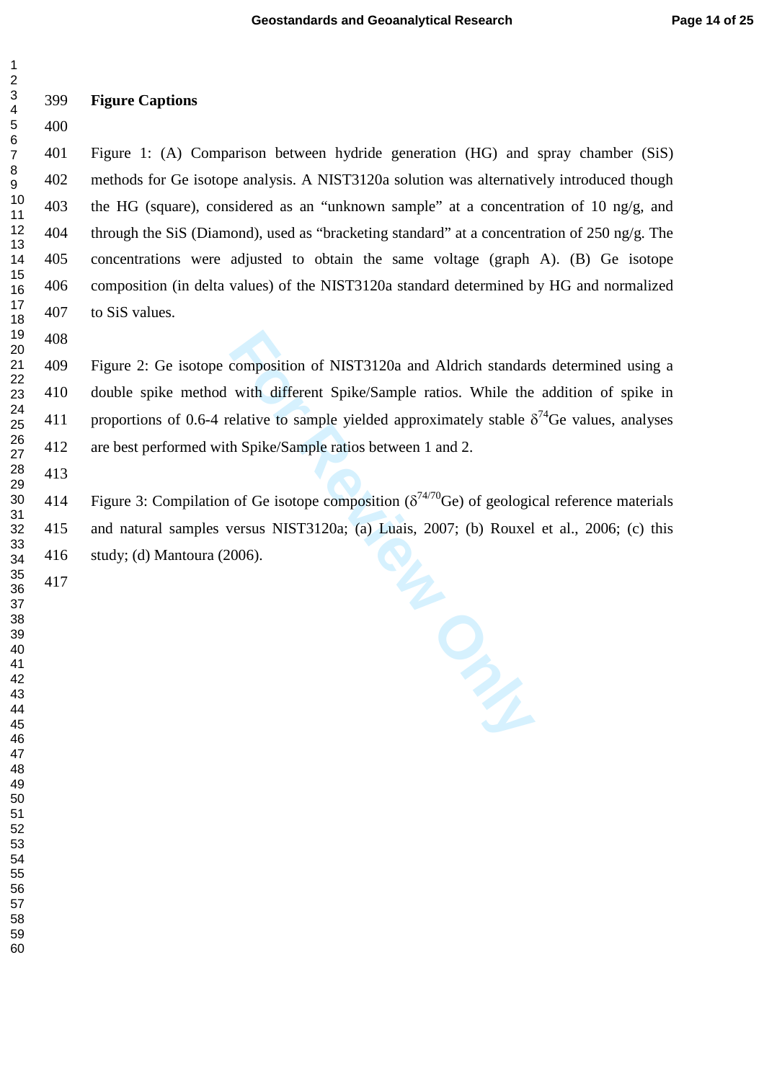# **Figure Captions**

 $\overline{1}$  $\overline{2}$  $\overline{3}$  $\overline{\mathbf{4}}$  $\,6$  $\overline{7}$ 

401 Figure 1: (A) Comparison between hydride generation (HG) and spray chamber (SiS) 402 methods for Ge isotope analysis. A NIST3120a solution was alternatively introduced though 403 the HG (square), considered as an "unknown sample" at a concentration of 10 ng/g, and 404 through the SiS (Diamond), used as "bracketing standard" at a concentration of 250 ng/g. The 405 concentrations were adjusted to obtain the same voltage (graph A). (B) Ge isotope 406 composition (in delta values) of the NIST3120a standard determined by HG and normalized 407 to SiS values.

409 Figure 2: Ge isotope composition of NIST3120a and Aldrich standards determined using a 410 double spike method with different Spike/Sample ratios. While the addition of spike in 411 proportions of 0.6-4 relative to sample yielded approximately stable  $\delta^{74}$ Ge values, analyses 412 are best performed with Spike/Sample ratios between 1 and 2.

414 Figure 3: Compilation of Ge isotope composition ( $\delta^{74/70}$ Ge) of geological reference materials 415 and natural samples versus NIST3120a; (a) Luais, 2007; (b) Rouxel et al., 2006; (c) this 416 study; (d) Mantoura (2006).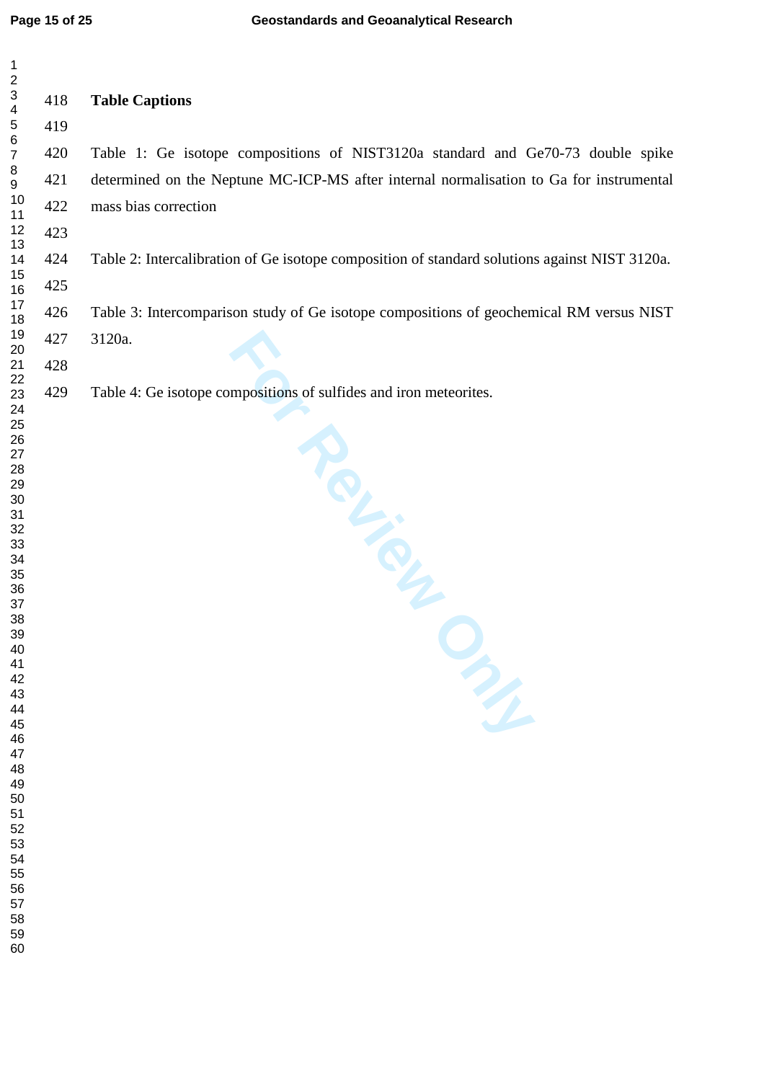| $\mathbf{1}$                                                                                                                                                                                                   |     |                                                                                               |
|----------------------------------------------------------------------------------------------------------------------------------------------------------------------------------------------------------------|-----|-----------------------------------------------------------------------------------------------|
| $\overline{c}$<br>3<br>$\overline{\mathbf{4}}$                                                                                                                                                                 | 418 | <b>Table Captions</b>                                                                         |
| $\overline{5}$                                                                                                                                                                                                 | 419 |                                                                                               |
| $\,6$<br>$\boldsymbol{7}$                                                                                                                                                                                      | 420 | Table 1: Ge isotope compositions of NIST3120a standard and Ge70-73 double spike               |
| 8<br>$\boldsymbol{9}$                                                                                                                                                                                          | 421 | determined on the Neptune MC-ICP-MS after internal normalisation to Ga for instrumental       |
| 10<br>11                                                                                                                                                                                                       | 422 | mass bias correction                                                                          |
| 12                                                                                                                                                                                                             | 423 |                                                                                               |
| 13<br>14                                                                                                                                                                                                       | 424 | Table 2: Intercalibration of Ge isotope composition of standard solutions against NIST 3120a. |
| 15<br>16                                                                                                                                                                                                       | 425 |                                                                                               |
| 17<br>18                                                                                                                                                                                                       | 426 | Table 3: Intercomparison study of Ge isotope compositions of geochemical RM versus NIST       |
| 19<br>20                                                                                                                                                                                                       | 427 | 3120a.                                                                                        |
| 21                                                                                                                                                                                                             | 428 |                                                                                               |
| 22<br>23<br>24                                                                                                                                                                                                 | 429 | Table 4: Ge isotope compositions of sulfides and iron meteorites.                             |
| 26<br>27<br>28<br>29<br>30<br>31<br>32<br>33<br>34<br>35<br>36<br>37<br>38<br>39<br>40<br>41<br>42<br>43<br>44<br>45<br>46<br>47<br>48<br>49<br>50<br>51<br>52<br>53<br>54<br>55<br>56<br>57<br>58<br>59<br>60 |     | Participation<br>m                                                                            |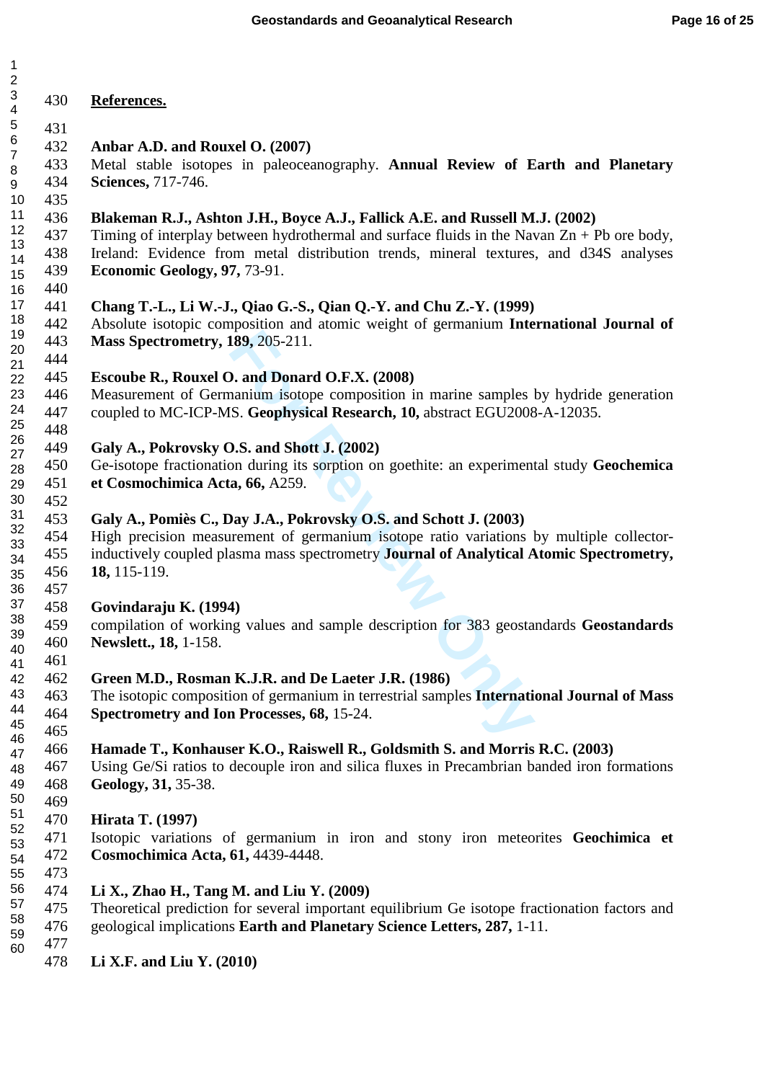$\overline{1}$ 

| 1        |            |                                                                                                                                        |
|----------|------------|----------------------------------------------------------------------------------------------------------------------------------------|
| 23456789 |            |                                                                                                                                        |
|          | 430        | References.                                                                                                                            |
|          | 431        |                                                                                                                                        |
|          | 432        | Anbar A.D. and Rouxel O. (2007)                                                                                                        |
|          | 433        | Metal stable isotopes in paleoceanography. Annual Review of Earth and Planetary                                                        |
|          | 434        | Sciences, 717-746.                                                                                                                     |
| 10       | 435        |                                                                                                                                        |
| 11       | 436        | Blakeman R.J., Ashton J.H., Boyce A.J., Fallick A.E. and Russell M.J. (2002)                                                           |
| 12       | 437        | Timing of interplay between hydrothermal and surface fluids in the Navan $Zn + Pb$ ore body,                                           |
| 13       | 438        | Ireland: Evidence from metal distribution trends, mineral textures, and d34S analyses                                                  |
| 14       | 439        | Economic Geology, 97, 73-91.                                                                                                           |
| 15       | 440        |                                                                                                                                        |
| 16<br>17 | 441        | Chang T.-L., Li W.-J., Qiao G.-S., Qian Q.-Y. and Chu Z.-Y. (1999)                                                                     |
| 18       | 442        | Absolute isotopic composition and atomic weight of germanium International Journal of                                                  |
| 19       | 443        | <b>Mass Spectrometry, 189, 205-211.</b>                                                                                                |
| 20       | 444        |                                                                                                                                        |
| 21       | 445        |                                                                                                                                        |
| 22<br>23 | 446        | Escoube R., Rouxel O. and Donard O.F.X. (2008)<br>Measurement of Germanium isotope composition in marine samples by hydride generation |
| 24       | 447        | coupled to MC-ICP-MS. Geophysical Research, 10, abstract EGU2008-A-12035.                                                              |
| 25       | 448        |                                                                                                                                        |
| 26       | 449        |                                                                                                                                        |
| 27       |            | Galy A., Pokrovsky O.S. and Shott J. (2002)                                                                                            |
| 28       | 450<br>451 | Ge-isotope fractionation during its sorption on goethite: an experimental study Geochemica<br>et Cosmochimica Acta, 66, A259.          |
| 29<br>30 | 452        |                                                                                                                                        |
| 31       | 453        |                                                                                                                                        |
| 32       | 454        | Galy A., Pomiès C., Day J.A., Pokrovsky O.S. and Schott J. (2003)                                                                      |
| 33       |            | High precision measurement of germanium isotope ratio variations by multiple collector-                                                |
| 34       | 455<br>456 | inductively coupled plasma mass spectrometry Journal of Analytical Atomic Spectrometry,<br>18, 115-119.                                |
| 35<br>36 | 457        |                                                                                                                                        |
| 37       | 458        | Govindaraju K. (1994)                                                                                                                  |
| 38       | 459        | compilation of working values and sample description for 383 geostandards Geostandards                                                 |
| 39       | 460        | Newslett., 18, 1-158.                                                                                                                  |
| 40       | 461        |                                                                                                                                        |
| 41<br>42 | 462        | Green M.D., Rosman K.J.R. and De Laeter J.R. (1986)                                                                                    |
| 43       | 463        | The isotopic composition of germanium in terrestrial samples International Journal of Mass                                             |
| 44       | 464        | Spectrometry and Ion Processes, 68, 15-24.                                                                                             |
| 45       | 465        |                                                                                                                                        |
| 46       | 466        | Hamade T., Konhauser K.O., Raiswell R., Goldsmith S. and Morris R.C. (2003)                                                            |
| 47       | 467        | Using Ge/Si ratios to decouple iron and silica fluxes in Precambrian banded iron formations                                            |
| 48<br>49 | 468        | Geology, 31, 35-38.                                                                                                                    |
| 50       | 469        |                                                                                                                                        |
| 51       | 470        | <b>Hirata T. (1997)</b>                                                                                                                |
| 52       | 471        | Isotopic variations of germanium in iron and stony iron meteorites Geochimica et                                                       |
| 53       | 472        | Cosmochimica Acta, 61, 4439-4448.                                                                                                      |
| 54<br>55 | 473        |                                                                                                                                        |
| 56       | 474        | Li X., Zhao H., Tang M. and Liu Y. $(2009)$                                                                                            |
| 57       | 475        | Theoretical prediction for several important equilibrium Ge isotope fractionation factors and                                          |
| 58       | 476        | geological implications Earth and Planetary Science Letters, 287, 1-11.                                                                |
| 59       | 477        |                                                                                                                                        |
| 60       | 478        | Li X.F. and Liu Y. $(2010)$                                                                                                            |
|          |            |                                                                                                                                        |
|          |            |                                                                                                                                        |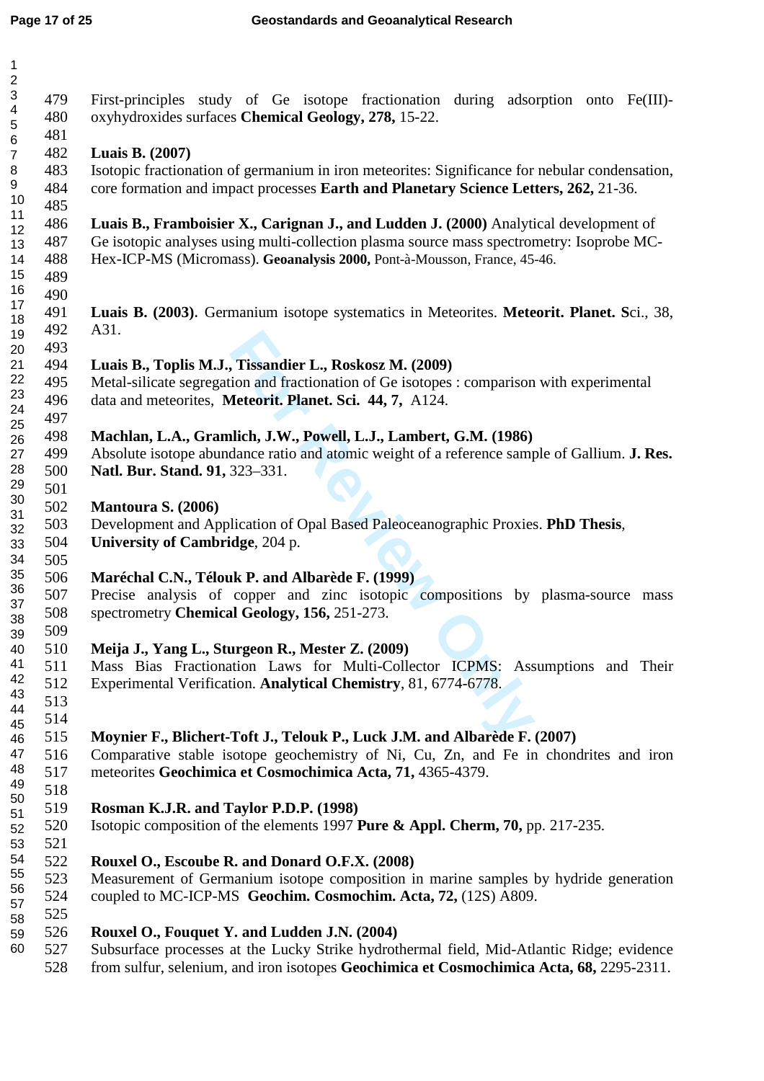| $\mathbf{1}$<br>$\sqrt{2}$<br>$\ensuremath{\mathsf{3}}$<br>$\overline{\mathbf{4}}$<br>5 | 479<br>480<br>481               | First-principles study of Ge isotope fractionation during adsorption onto Fe(III)-<br>oxyhydroxides surfaces Chemical Geology, 278, 15-22.                                                                                                                     |
|-----------------------------------------------------------------------------------------|---------------------------------|----------------------------------------------------------------------------------------------------------------------------------------------------------------------------------------------------------------------------------------------------------------|
| $\,6$<br>$\overline{7}$<br>$\,8\,$<br>9<br>10                                           | 482<br>483<br>484               | Luais B. (2007)<br>Isotopic fractionation of germanium in iron meteorites: Significance for nebular condensation,<br>core formation and impact processes Earth and Planetary Science Letters, 262, 21-36.                                                      |
| 11<br>12<br>13<br>14<br>15<br>16                                                        | 485<br>486<br>487<br>488<br>489 | Luais B., Framboisier X., Carignan J., and Ludden J. (2000) Analytical development of<br>Ge isotopic analyses using multi-collection plasma source mass spectrometry: Isoprobe MC-<br>Hex-ICP-MS (Micromass). Geoanalysis 2000, Pont-à-Mousson, France, 45-46. |
| 17<br>18<br>19<br>20                                                                    | 490<br>491<br>492<br>493        | Luais B. (2003). Germanium isotope systematics in Meteorites. Meteorit. Planet. Sci., 38,<br>A31.                                                                                                                                                              |
| 21<br>22<br>23<br>24                                                                    | 494<br>495<br>496<br>497        | Luais B., Toplis M.J., Tissandier L., Roskosz M. (2009)<br>Metal-silicate segregation and fractionation of Ge isotopes : comparison with experimental<br>data and meteorites, Meteorit. Planet. Sci. 44, 7, A124.                                              |
| 25<br>26<br>27<br>28<br>29                                                              | 498<br>499<br>500<br>501        | Machlan, L.A., Gramlich, J.W., Powell, L.J., Lambert, G.M. (1986)<br>Absolute isotope abundance ratio and atomic weight of a reference sample of Gallium. J. Res.<br>Natl. Bur. Stand. 91, 323-331.                                                            |
| 30<br>31<br>32<br>33<br>34                                                              | 502<br>503<br>504<br>505        | Mantoura S. (2006)<br>Development and Application of Opal Based Paleoceanographic Proxies. PhD Thesis,<br>University of Cambridge, 204 p.                                                                                                                      |
| 35<br>36<br>37<br>38<br>39                                                              | 506<br>507<br>508<br>509        | Maréchal C.N., Télouk P. and Albarède F. (1999)<br>Precise analysis of copper and zinc isotopic compositions by plasma-source mass<br>spectrometry Chemical Geology, 156, 251-273.                                                                             |
| 40<br>41<br>42<br>43<br>44                                                              | 510<br>511<br>512<br>513<br>514 | Meija J., Yang L., Sturgeon R., Mester Z. (2009)<br>Mass Bias Fractionation Laws for Multi-Collector ICPMS: Assumptions and Their<br>Experimental Verification. Analytical Chemistry, 81, 6774-6778.                                                           |
| 45<br>46<br>47<br>48<br>49                                                              | 515<br>516<br>517<br>518        | Moynier F., Blichert-Toft J., Telouk P., Luck J.M. and Albarède F. (2007)<br>Comparative stable isotope geochemistry of Ni, Cu, Zn, and Fe in chondrites and iron<br>meteorites Geochimica et Cosmochimica Acta, 71, 4365-4379.                                |
| 50<br>51<br>52<br>53                                                                    | 519<br>520<br>521               | Rosman K.J.R. and Taylor P.D.P. (1998)<br>Isotopic composition of the elements 1997 Pure & Appl. Cherm, 70, pp. 217-235.                                                                                                                                       |
| 54<br>55<br>56<br>57<br>58                                                              | 522<br>523<br>524<br>525        | Rouxel O., Escoube R. and Donard O.F.X. (2008)<br>Measurement of Germanium isotope composition in marine samples by hydride generation<br>coupled to MC-ICP-MS Geochim. Cosmochim. Acta, 72, (12S) A809.                                                       |
| 59<br>60                                                                                | 526<br>527<br>528               | Rouxel O., Fouquet Y. and Ludden J.N. (2004)<br>Subsurface processes at the Lucky Strike hydrothermal field, Mid-Atlantic Ridge; evidence<br>from sulfur, selenium, and iron isotopes Geochimica et Cosmochimica Acta, 68, 2295-2311.                          |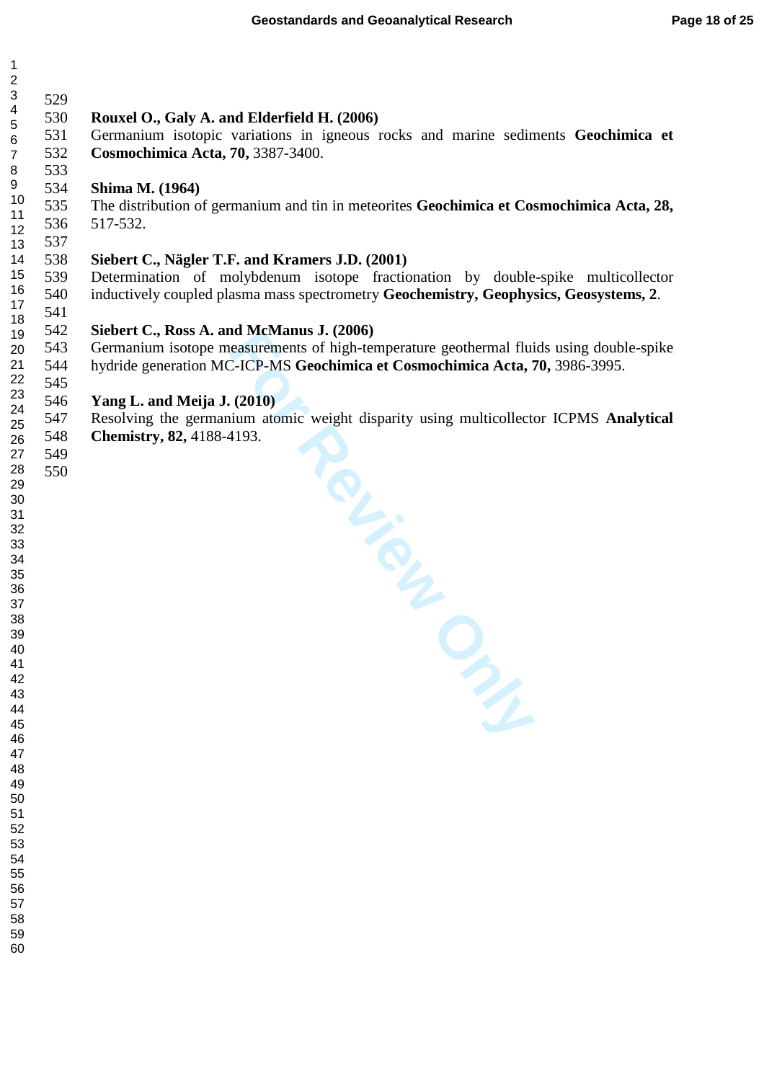| $\mathbf 1$                                   |            |                                                                                                                                  |
|-----------------------------------------------|------------|----------------------------------------------------------------------------------------------------------------------------------|
| $\boldsymbol{2}$<br>$\ensuremath{\mathsf{3}}$ |            |                                                                                                                                  |
| $\overline{\mathbf{4}}$                       | 529        |                                                                                                                                  |
| $\sqrt{5}$                                    | 530<br>531 | Rouxel O., Galy A. and Elderfield H. (2006)<br>Germanium isotopic variations in igneous rocks and marine sediments Geochimica et |
| $\overline{6}$<br>$\overline{7}$              | 532        | Cosmochimica Acta, 70, 3387-3400.                                                                                                |
| $\bf 8$                                       | 533        |                                                                                                                                  |
| $9\,$                                         | 534        | Shima M. (1964)                                                                                                                  |
| 10                                            | 535        | The distribution of germanium and tin in meteorites Geochimica et Cosmochimica Acta, 28,                                         |
| 11<br>12                                      | 536        | 517-532.                                                                                                                         |
| 13                                            | 537        |                                                                                                                                  |
| 14                                            | 538        | Siebert C., Nägler T.F. and Kramers J.D. (2001)                                                                                  |
| 15                                            | 539        | Determination of molybdenum isotope fractionation by double-spike multicollector                                                 |
| 16<br>17                                      | 540        | inductively coupled plasma mass spectrometry Geochemistry, Geophysics, Geosystems, 2.                                            |
| 18                                            | 541        |                                                                                                                                  |
| 19                                            | 542        | Siebert C., Ross A. and McManus J. (2006)                                                                                        |
| 20                                            | 543        | Germanium isotope measurements of high-temperature geothermal fluids using double-spike                                          |
| 21                                            | 544        | hydride generation MC-ICP-MS Geochimica et Cosmochimica Acta, 70, 3986-3995.                                                     |
| 22<br>23                                      | 545        |                                                                                                                                  |
| 24                                            | 546        | Yang L. and Meija J. (2010)                                                                                                      |
| 25                                            | 547        | Resolving the germanium atomic weight disparity using multicollector ICPMS Analytical                                            |
| 26                                            | 548<br>549 | <b>Chemistry, 82, 4188-4193.</b>                                                                                                 |
| 27<br>28                                      | 550        |                                                                                                                                  |
| 29                                            |            | NOL-102                                                                                                                          |
| $30\,$                                        |            |                                                                                                                                  |
| 31                                            |            |                                                                                                                                  |
| 32<br>33                                      |            |                                                                                                                                  |
| 34                                            |            |                                                                                                                                  |
| 35                                            |            |                                                                                                                                  |
| 36                                            |            |                                                                                                                                  |
| 37<br>38                                      |            |                                                                                                                                  |
| 39                                            |            |                                                                                                                                  |
| 40                                            |            |                                                                                                                                  |
| 41                                            |            |                                                                                                                                  |
| 42<br>43                                      |            |                                                                                                                                  |
| 44                                            |            |                                                                                                                                  |
| 45                                            |            |                                                                                                                                  |
| 46<br>47                                      |            |                                                                                                                                  |
| 48                                            |            |                                                                                                                                  |
| 49                                            |            |                                                                                                                                  |
| 50                                            |            |                                                                                                                                  |
| 51<br>52                                      |            |                                                                                                                                  |
| 53                                            |            |                                                                                                                                  |
|                                               |            |                                                                                                                                  |
| 54                                            |            |                                                                                                                                  |
| 55<br>56                                      |            |                                                                                                                                  |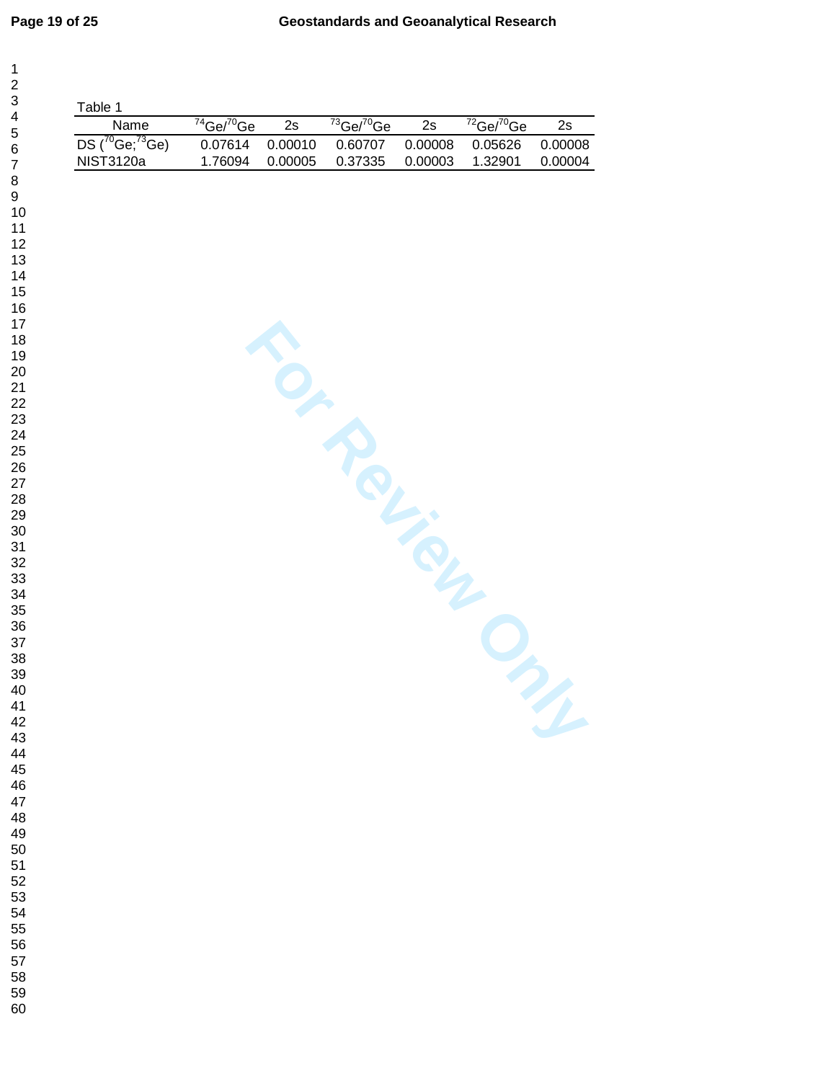| Name                                       | $74$ Ge/ $70$ Ge   | 2s                 | $73 Ge^{-70}$ Ge   | 2s                 | $72$ Ge/ $70$ Ge   | 2s                 |
|--------------------------------------------|--------------------|--------------------|--------------------|--------------------|--------------------|--------------------|
| $DS(^{70}Ge; ^{73}Ge)$<br><b>NIST3120a</b> | 0.07614<br>1.76094 | 0.00010<br>0.00005 | 0.60707<br>0.37335 | 0.00008<br>0.00003 | 0.05626<br>1.32901 | 0.00008<br>0.00004 |
|                                            |                    |                    |                    |                    |                    |                    |
|                                            |                    |                    | TO MOVIE           |                    |                    |                    |
|                                            |                    |                    |                    |                    |                    |                    |
|                                            |                    |                    |                    |                    |                    |                    |
|                                            |                    |                    |                    |                    |                    |                    |
|                                            |                    |                    |                    |                    |                    |                    |
|                                            |                    |                    |                    |                    |                    |                    |
|                                            |                    |                    |                    |                    |                    |                    |
|                                            |                    |                    |                    |                    |                    |                    |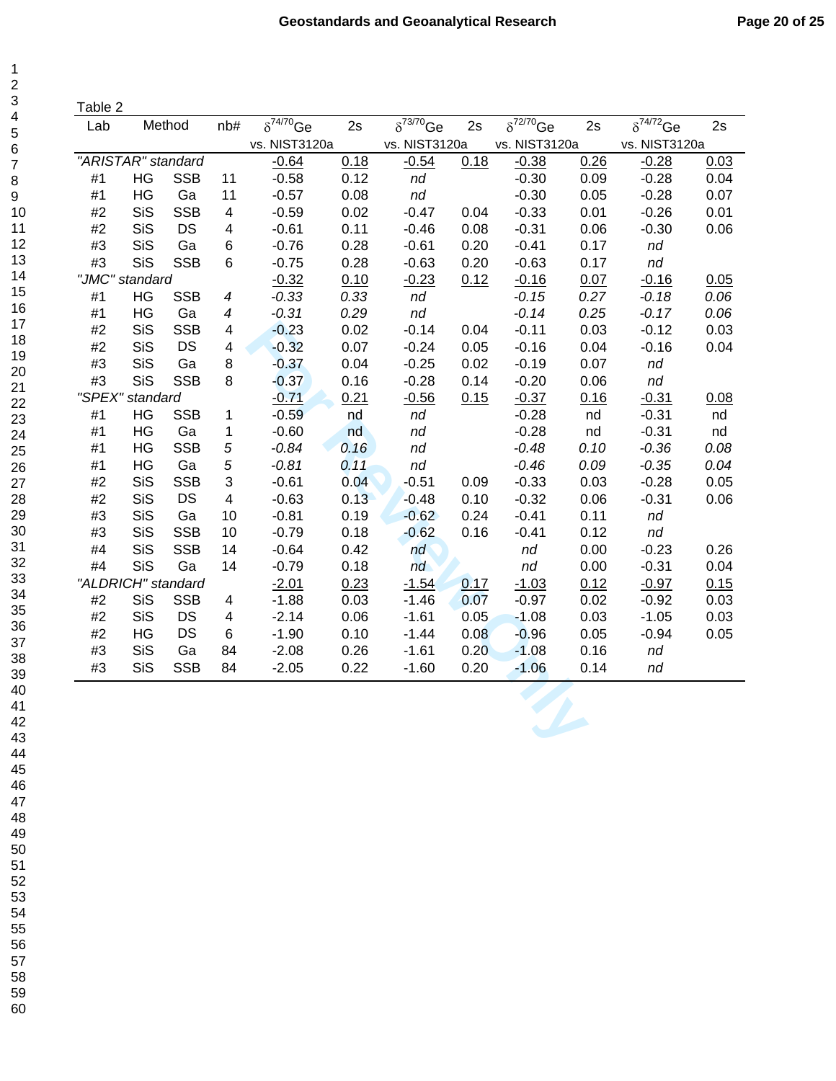|  | ane |  |  |
|--|-----|--|--|
|  |     |  |  |

 $\mathbf 1$ 

| Lab   |                    | Method     | nb#                      | $\overline{\delta^{74/70}}$ Ge | 2s   | $\overline{\delta^{73/70}}$ Ge | 2s   | $\overline{\delta^{72/70}}$ Ge | 2s   | $\overline{\delta^{74/7}}$ <sup>2</sup> Ge | 2s   |
|-------|--------------------|------------|--------------------------|--------------------------------|------|--------------------------------|------|--------------------------------|------|--------------------------------------------|------|
|       |                    |            |                          | vs. NIST3120a                  |      | vs. NIST3120a                  |      | vs. NIST3120a                  |      | vs. NIST3120a                              |      |
|       | "ARISTAR" standard |            |                          | $-0.64$                        | 0.18 | $-0.54$                        | 0.18 | $-0.38$                        | 0.26 | $-0.28$                                    | 0.03 |
| #1    | HG                 | <b>SSB</b> | 11                       | $-0.58$                        | 0.12 | nd                             |      | $-0.30$                        | 0.09 | $-0.28$                                    | 0.04 |
| #1    | HG                 | Ga         | 11                       | $-0.57$                        | 0.08 | nd                             |      | $-0.30$                        | 0.05 | $-0.28$                                    | 0.07 |
| #2    | SiS                | <b>SSB</b> | $\overline{4}$           | $-0.59$                        | 0.02 | $-0.47$                        | 0.04 | $-0.33$                        | 0.01 | $-0.26$                                    | 0.01 |
| #2    | SiS                | <b>DS</b>  | $\overline{4}$           | $-0.61$                        | 0.11 | $-0.46$                        | 0.08 | $-0.31$                        | 0.06 | $-0.30$                                    | 0.06 |
| #3    | SiS                | Ga         | $\,6$                    | $-0.76$                        | 0.28 | $-0.61$                        | 0.20 | $-0.41$                        | 0.17 | nd                                         |      |
| #3    | SiS                | <b>SSB</b> | 6                        | $-0.75$                        | 0.28 | $-0.63$                        | 0.20 | $-0.63$                        | 0.17 | nd                                         |      |
|       | "JMC" standard     |            |                          | $-0.32$                        | 0.10 | $-0.23$                        | 0.12 | $-0.16$                        | 0.07 | $-0.16$                                    | 0.05 |
| #1    | HG                 | <b>SSB</b> | $\overline{\mathcal{A}}$ | $-0.33$                        | 0.33 | nd                             |      | $-0.15$                        | 0.27 | $-0.18$                                    | 0.06 |
| #1    | HG                 | Ga         | $\boldsymbol{4}$         | $-0.31$                        | 0.29 | nd                             |      | $-0.14$                        | 0.25 | $-0.17$                                    | 0.06 |
| #2    | SiS                | <b>SSB</b> | $\overline{4}$           | $-0.23$                        | 0.02 | $-0.14$                        | 0.04 | $-0.11$                        | 0.03 | $-0.12$                                    | 0.03 |
| #2    | <b>SiS</b>         | <b>DS</b>  | $\overline{\mathbf{4}}$  | $-0.32$                        | 0.07 | $-0.24$                        | 0.05 | $-0.16$                        | 0.04 | $-0.16$                                    | 0.04 |
| #3    | SiS                | Ga         | $\bf 8$                  | $-0.37$                        | 0.04 | $-0.25$                        | 0.02 | $-0.19$                        | 0.07 | nd                                         |      |
| #3    | <b>SiS</b>         | <b>SSB</b> | 8                        | $-0.37$                        | 0.16 | $-0.28$                        | 0.14 | $-0.20$                        | 0.06 | nd                                         |      |
|       | "SPEX" standard    |            |                          | $-0.71$                        | 0.21 | $-0.56$                        | 0.15 | $-0.37$                        | 0.16 | $-0.31$                                    | 0.08 |
| #1    | HG                 | <b>SSB</b> | $\mathbf{1}$             | $-0.59$                        | nd   | nd                             |      | $-0.28$                        | nd   | $-0.31$                                    | nd   |
| #1    | HG                 | Ga         | 1                        | $-0.60$                        | nd   | nd                             |      | $-0.28$                        | nd   | $-0.31$                                    | nd   |
| #1    | HG                 | <b>SSB</b> | $\sqrt{5}$               | $-0.84$                        | 0.16 | nd                             |      | $-0.48$                        | 0.10 | $-0.36$                                    | 0.08 |
| #1    | HG                 | Ga         | 5                        | $-0.81$                        | 0.11 | nd                             |      | $-0.46$                        | 0.09 | $-0.35$                                    | 0.04 |
| #2    | SiS                | <b>SSB</b> | 3                        | $-0.61$                        | 0.04 | $-0.51$                        | 0.09 | $-0.33$                        | 0.03 | $-0.28$                                    | 0.05 |
| $\#2$ | SiS                | <b>DS</b>  | $\overline{\mathbf{4}}$  | $-0.63$                        | 0.13 | $-0.48$                        | 0.10 | $-0.32$                        | 0.06 | $-0.31$                                    | 0.06 |
| #3    | SiS                | Ga         | 10                       | $-0.81$                        | 0.19 | $-0.62$                        | 0.24 | $-0.41$                        | 0.11 | nd                                         |      |
| #3    | SiS                | <b>SSB</b> | 10                       | $-0.79$                        | 0.18 | $-0.62$                        | 0.16 | $-0.41$                        | 0.12 | nd                                         |      |
| #4    | SiS                | <b>SSB</b> | 14                       | $-0.64$                        | 0.42 | nd                             |      | nd                             | 0.00 | $-0.23$                                    | 0.26 |
| #4    | SiS                | Ga         | 14                       | $-0.79$                        | 0.18 | nd                             |      | nd                             | 0.00 | $-0.31$                                    | 0.04 |
|       | "ALDRICH" standard |            |                          | $-2.01$                        | 0.23 | $-1.54$                        | 0.17 | $-1.03$                        | 0.12 | $-0.97$                                    | 0.15 |
| #2    | SiS                | <b>SSB</b> | $\overline{4}$           | $-1.88$                        | 0.03 | $-1.46$                        | 0.07 | $-0.97$                        | 0.02 | $-0.92$                                    | 0.03 |
| #2    | SiS                | DS         | $\overline{4}$           | $-2.14$                        | 0.06 | $-1.61$                        | 0.05 | $-1.08$                        | 0.03 | $-1.05$                                    | 0.03 |
| #2    | HG                 | <b>DS</b>  | 6                        | $-1.90$                        | 0.10 | $-1.44$                        | 0.08 | $-0.96$                        | 0.05 | $-0.94$                                    | 0.05 |
| #3    | SiS                | Ga         | 84                       | $-2.08$                        | 0.26 | $-1.61$                        | 0.20 | $-1.08$                        | 0.16 | nd                                         |      |
| #3    | <b>SiS</b>         | <b>SSB</b> | 84                       | $-2.05$                        | 0.22 | $-1.60$                        | 0.20 | $-1.06$                        | 0.14 | nd                                         |      |
|       |                    |            |                          |                                |      |                                |      |                                |      |                                            |      |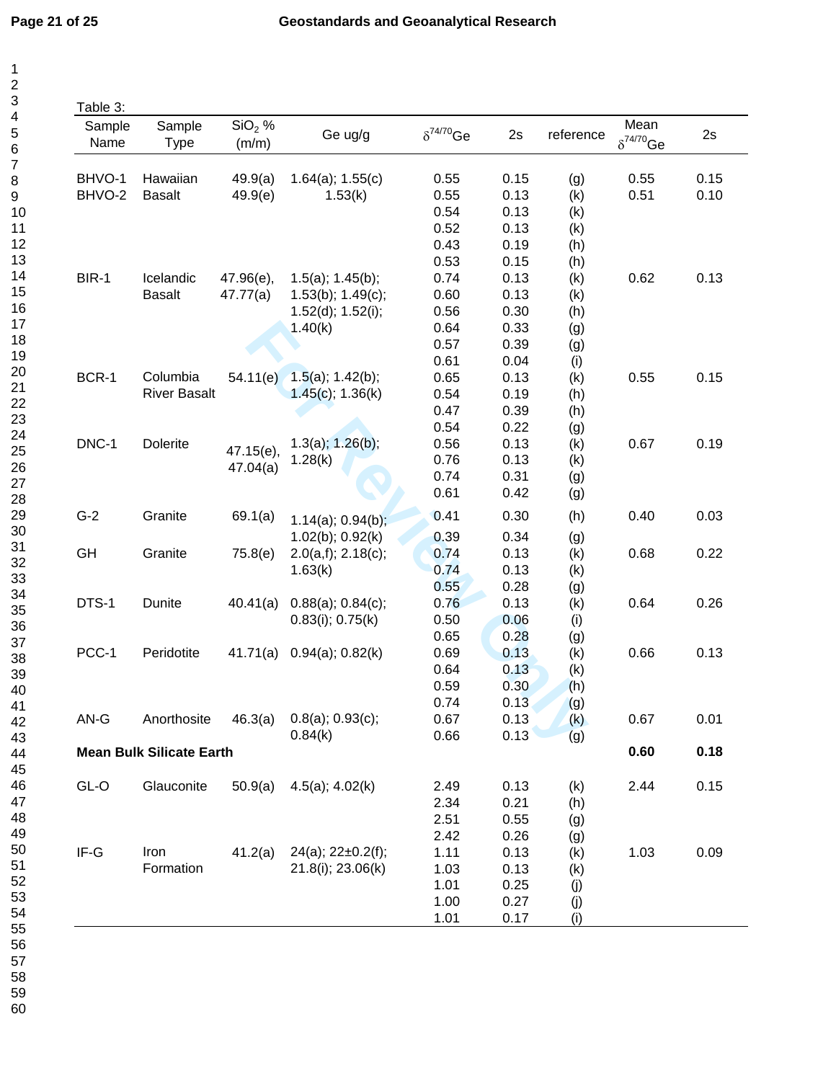$\mathbf{1}$  $\mathbf 2$ 3  $\overline{\mathbf{4}}$  $\overline{5}$  $\,6$  $\overline{\mathbf{7}}$  $\bf 8$  $\boldsymbol{9}$ 

| Sample<br>Name | Sample<br><b>Type</b>           | $SiO2$ %<br>(m/m) | Ge ug/g                   | $\delta^{74/70}$ Ge | 2s   | reference  | Mean<br>$\delta^{74/70}$ Ge | 2s   |
|----------------|---------------------------------|-------------------|---------------------------|---------------------|------|------------|-----------------------------|------|
| BHVO-1         | Hawaiian                        | 49.9(a)           | $1.64(a)$ ; $1.55(c)$     | 0.55                | 0.15 | (g)        | 0.55                        | 0.15 |
| BHVO-2         | <b>Basalt</b>                   | 49.9(e)           | 1.53(k)                   | 0.55                | 0.13 | (k)        | 0.51                        | 0.10 |
|                |                                 |                   |                           | 0.54                | 0.13 | (k)        |                             |      |
|                |                                 |                   |                           | 0.52                | 0.13 | (k)        |                             |      |
|                |                                 |                   |                           | 0.43                | 0.19 | (h)        |                             |      |
|                |                                 |                   |                           | 0.53                | 0.15 | (h)        |                             |      |
| BIR-1          | Icelandic                       | 47.96(e),         | $1.5(a)$ ; $1.45(b)$ ;    | 0.74                | 0.13 | (k)        | 0.62                        | 0.13 |
|                | <b>Basalt</b>                   | 47.77(a)          | $1.53(b)$ ; $1.49(c)$ ;   | 0.60                | 0.13 | (k)        |                             |      |
|                |                                 |                   | $1.52(d)$ ; $1.52(i)$ ;   | 0.56                | 0.30 | (h)        |                             |      |
|                |                                 |                   | 1.40(k)                   | 0.64                | 0.33 |            |                             |      |
|                |                                 |                   |                           | 0.57                | 0.39 | (g)        |                             |      |
|                |                                 |                   |                           | 0.61                | 0.04 | (g)        |                             |      |
| BCR-1          | Columbia                        | 54.11(e)          | $1.5(a)$ ; $1.42(b)$ ;    | 0.65                | 0.13 | (i)        | 0.55                        | 0.15 |
|                | <b>River Basalt</b>             |                   | $1.45(c)$ ; 1.36(k)       | 0.54                | 0.19 | (k)<br>(h) |                             |      |
|                |                                 |                   |                           | 0.47                | 0.39 |            |                             |      |
|                |                                 |                   |                           | 0.54                | 0.22 | (h)        |                             |      |
| DNC-1          |                                 |                   |                           |                     |      | (g)        |                             |      |
|                | Dolerite                        | 47.15(e),         | $1.3(a)$ ; $1.26(b)$ ;    | 0.56                | 0.13 | (k)        | 0.67                        | 0.19 |
|                |                                 | 47.04(a)          | 1.28(k)                   | 0.76                | 0.13 | (k)        |                             |      |
|                |                                 |                   |                           | 0.74                | 0.31 | (g)        |                             |      |
|                |                                 |                   |                           | 0.61                | 0.42 | (g)        |                             |      |
| $G-2$          | Granite                         | 69.1(a)           | $1.14(a)$ ; 0.94(b);      | 0.41                | 0.30 | (h)        | 0.40                        | 0.03 |
|                |                                 |                   | $1.02(b)$ ; $0.92(k)$     | 0.39                | 0.34 | (g)        |                             |      |
| GH             | Granite                         | 75.8(e)           | 2.0(a,f); 2.18(c);        | 0.74                | 0.13 | (k)        | 0.68                        | 0.22 |
|                |                                 |                   | 1.63(k)                   | 0.74                | 0.13 | (k)        |                             |      |
|                |                                 |                   |                           | 0.55                | 0.28 | (g)        |                             |      |
| DTS-1          | Dunite                          | 40.41(a)          | $0.88(a)$ ; $0.84(c)$ ;   | 0.76                | 0.13 | (k)        | 0.64                        | 0.26 |
|                |                                 |                   | $0.83(i)$ ; $0.75(k)$     | 0.50                | 0.06 | (i)        |                             |      |
|                |                                 |                   |                           | 0.65                | 0.28 | (g)        |                             |      |
| PCC-1          | Peridotite                      | 41.71(a)          | $0.94(a)$ ; $0.82(k)$     | 0.69                | 0.13 | (k)        | 0.66                        | 0.13 |
|                |                                 |                   |                           | 0.64                | 0.13 | (k)        |                             |      |
|                |                                 |                   |                           | 0.59                | 0.30 | (h)        |                             |      |
|                |                                 |                   |                           | 0.74                | 0.13 | (g)        |                             |      |
| AN-G           | Anorthosite                     | 46.3(a)           | $0.8(a)$ ; $0.93(c)$ ;    | 0.67                | 0.13 | (k)        | 0.67                        | 0.01 |
|                |                                 |                   | 0.84(k)                   | 0.66                | 0.13 | (g)        |                             |      |
|                | <b>Mean Bulk Silicate Earth</b> |                   |                           |                     |      |            | 0.60                        | 0.18 |
| GL-O           | Glauconite                      | 50.9(a)           | 4.5(a); 4.02(k)           | 2.49                | 0.13 | (k)        | 2.44                        | 0.15 |
|                |                                 |                   |                           | 2.34                | 0.21 | (h)        |                             |      |
|                |                                 |                   |                           | 2.51                | 0.55 | (g)        |                             |      |
|                |                                 |                   |                           | 2.42                | 0.26 | (g)        |                             |      |
| IF-G           | Iron                            | 41.2(a)           | $24(a)$ ; $22\pm0.2(f)$ ; | 1.11                | 0.13 | (k)        | 1.03                        | 0.09 |
|                | Formation                       |                   | 21.8(i); 23.06(k)         | 1.03                | 0.13 | (k)        |                             |      |
|                |                                 |                   |                           | 1.01                | 0.25 | (j)        |                             |      |
|                |                                 |                   |                           | 1.00                | 0.27 | (j)        |                             |      |
|                |                                 |                   |                           | 1.01                | 0.17 | (i)        |                             |      |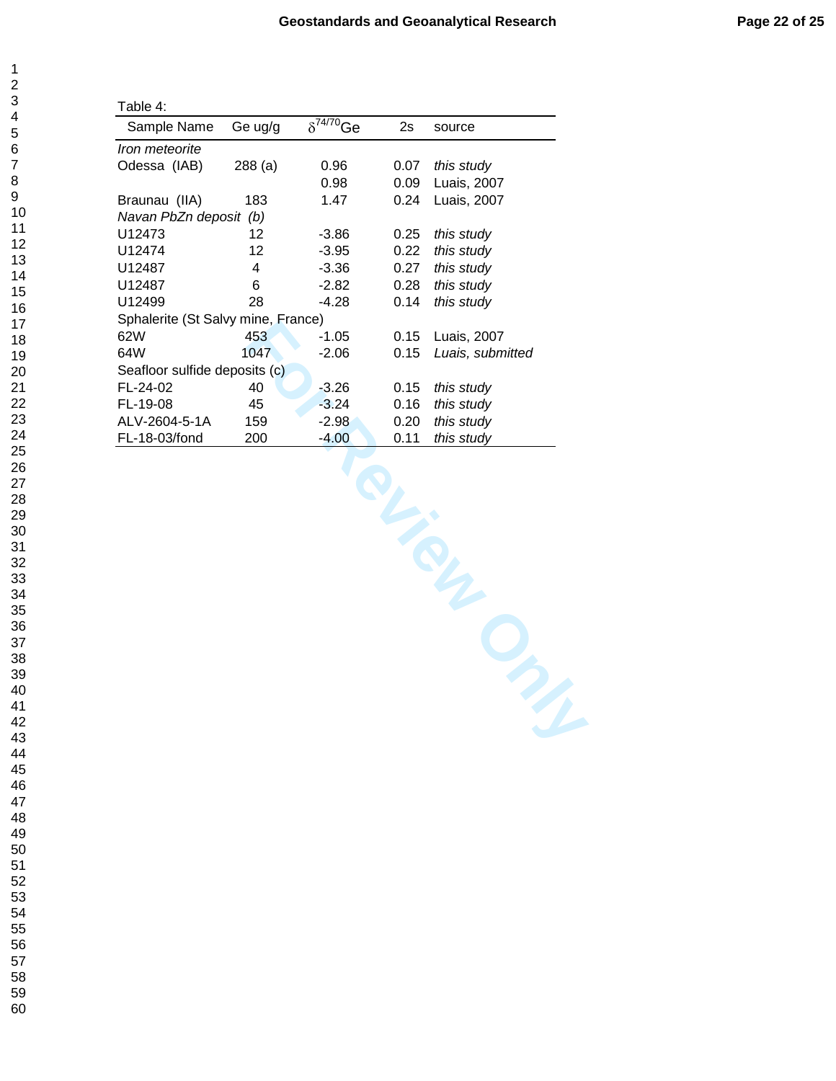| Table 4:                            |         |                     |      |                  |
|-------------------------------------|---------|---------------------|------|------------------|
| Sample Name                         | Ge ug/g | $\delta^{74/70}$ Ge | 2s   | source           |
| <i><u><b>Iron meteorite</b></u></i> |         |                     |      |                  |
| Odessa (IAB)                        | 288(a)  | 0.96                | 0.07 | this study       |
|                                     |         | 0.98                | 0.09 | Luais, 2007      |
| Braunau (IIA)                       | 183     | 1.47                | 0.24 | Luais, 2007      |
| Navan PbZn deposit (b)              |         |                     |      |                  |
| U12473                              | 12      | -3.86               | 0.25 | this study       |
| U12474                              | 12      | $-3.95$             | 0.22 | this study       |
| U12487                              | 4       | $-3.36$             | 0.27 | this study       |
| U12487                              | 6       | $-2.82$             | 0.28 | this study       |
| U12499                              | 28      | -4.28               | 0.14 | this study       |
| Sphalerite (St Salvy mine, France)  |         |                     |      |                  |
| 62W                                 | 453     | -1.05               | 0.15 | Luais, 2007      |
| 64W                                 | 1047    | $-2.06$             | 0.15 | Luais, submitted |
| Seafloor sulfide deposits (c)       |         |                     |      |                  |
| FL-24-02                            | 40      | $-3.26$             | 0.15 | this study       |
| FL-19-08                            | 45      | $-3.24$             | 0.16 | this study       |
| ALV-2604-5-1A                       | 159     | $-2.98$             | 0.20 | this study       |
| FL-18-03/fond                       | 200     | $-4.00$             | 0.11 | this study       |

mine, France)<br>453 - 1.05 0.15 Luais, 2007<br>645 - 1.05 0.15 Luais, submitted<br>sits (c)<br>46 - 3.26 0.15 this study<br>159 - 2.98 0.20 this study<br>200 - 4.00 0.11 this study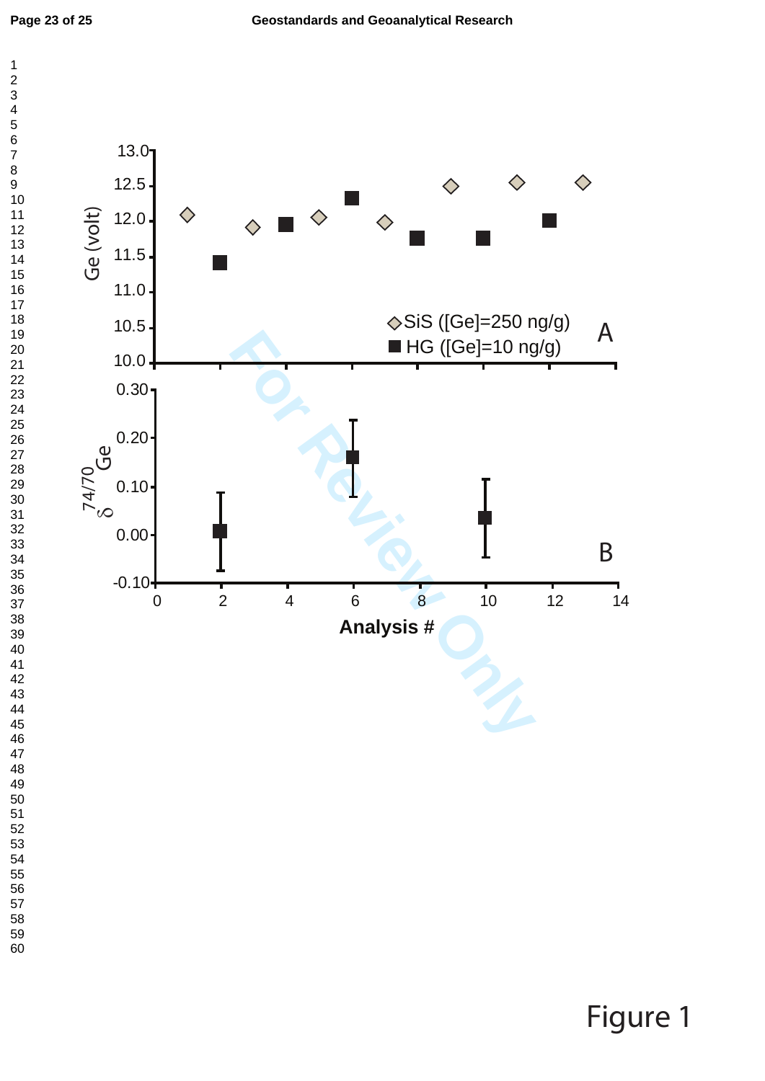

Figure 1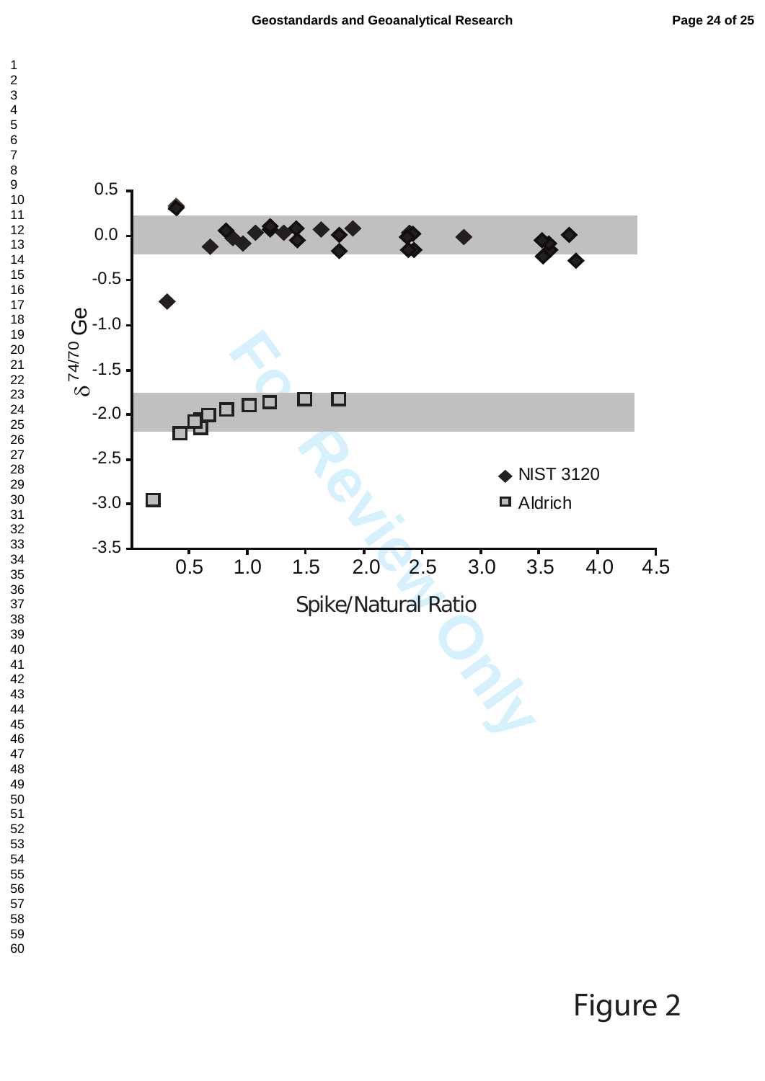

Figure 2

 $\overline{1}$  $\overline{c}$  $\overline{4}$